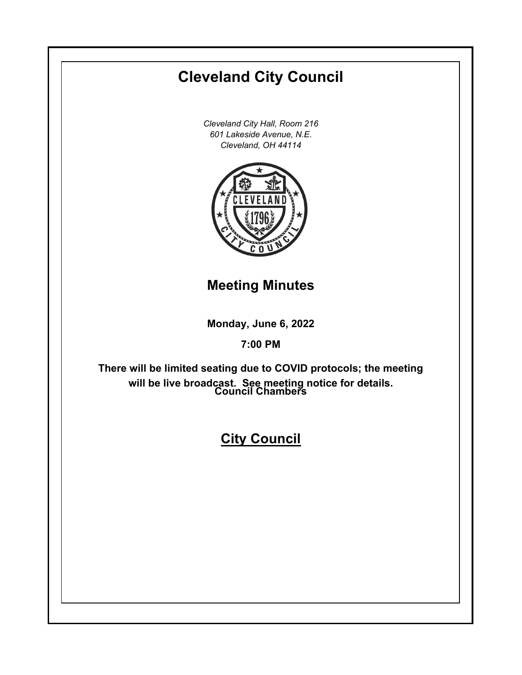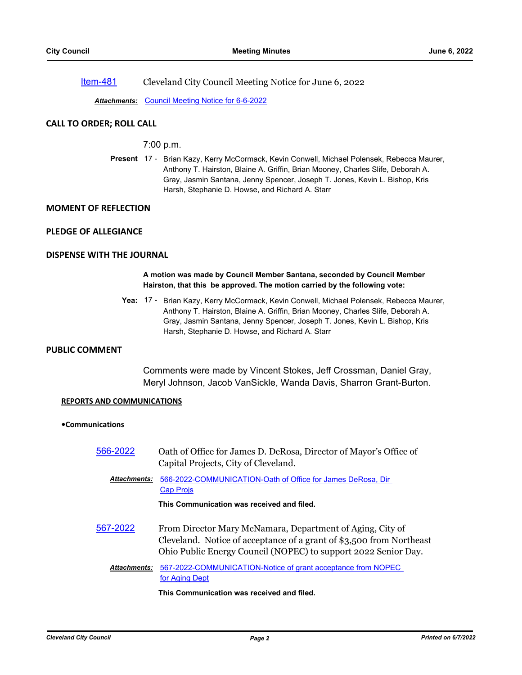[Item-481](http://cityofcleveland.legistar.com/gateway.aspx?m=l&id=/matter.aspx?key=30495) Cleveland City Council Meeting Notice for June 6, 2022

*Attachments:* [Council Meeting Notice for 6-6-2022](http://cityofcleveland.legistar.com/gateway.aspx?M=F&ID=51c0a4d2-935a-4529-8c3e-87a4eb2f1124.pdf)

# **CALL TO ORDER; ROLL CALL**

# 7:00 p.m.

Present 17 - Brian Kazy, Kerry McCormack, Kevin Conwell, Michael Polensek, Rebecca Maurer, Anthony T. Hairston, Blaine A. Griffin, Brian Mooney, Charles Slife, Deborah A. Gray, Jasmin Santana, Jenny Spencer, Joseph T. Jones, Kevin L. Bishop, Kris Harsh, Stephanie D. Howse, and Richard A. Starr

# **MOMENT OF REFLECTION**

# **PLEDGE OF ALLEGIANCE**

# **DISPENSE WITH THE JOURNAL**

## **A motion was made by Council Member Santana, seconded by Council Member Hairston, that this be approved. The motion carried by the following vote:**

Yea: 17 - Brian Kazy, Kerry McCormack, Kevin Conwell, Michael Polensek, Rebecca Maurer, Anthony T. Hairston, Blaine A. Griffin, Brian Mooney, Charles Slife, Deborah A. Gray, Jasmin Santana, Jenny Spencer, Joseph T. Jones, Kevin L. Bishop, Kris Harsh, Stephanie D. Howse, and Richard A. Starr

# **PUBLIC COMMENT**

Comments were made by Vincent Stokes, Jeff Crossman, Daniel Gray, Meryl Johnson, Jacob VanSickle, Wanda Davis, Sharron Grant-Burton.

### **REPORTS AND COMMUNICATIONS**

### **•Communications**

[566-2022](http://cityofcleveland.legistar.com/gateway.aspx?m=l&id=/matter.aspx?key=30464) Oath of Office for James D. DeRosa, Director of Mayor's Office of Capital Projects, City of Cleveland.

[566-2022-COMMUNICATION-Oath of Office for James DeRosa, Dir](http://cityofcleveland.legistar.com/gateway.aspx?M=F&ID=e2e63da9-fe1c-49ed-95a8-ab30565fd95b.pdf)  Cap Projs *Attachments:*

**This Communication was received and filed.**

[567-2022](http://cityofcleveland.legistar.com/gateway.aspx?m=l&id=/matter.aspx?key=30468) From Director Mary McNamara, Department of Aging, City of Cleveland. Notice of acceptance of a grant of \$3,500 from Northeast Ohio Public Energy Council (NOPEC) to support 2022 Senior Day.

#### [567-2022-COMMUNICATION-Notice of grant acceptance from NOPEC](http://cityofcleveland.legistar.com/gateway.aspx?M=F&ID=45939849-0e13-4d66-9749-85686342de0b.pdf)  for Aging Dept *Attachments:*

# **This Communication was received and filed.**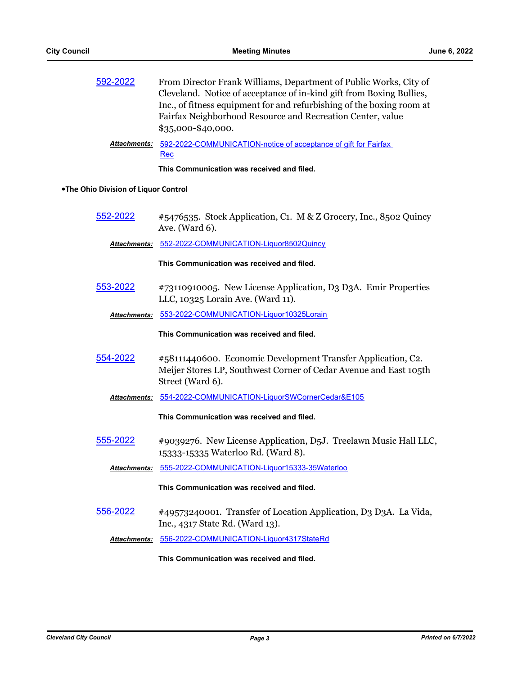| 592-2022 | From Director Frank Williams, Department of Public Works, City of<br>Cleveland. Notice of acceptance of in-kind gift from Boxing Bullies,<br>Inc., of fitness equipment for and refurbishing of the boxing room at<br>Fairfax Neighborhood Resource and Recreation Center, value |
|----------|----------------------------------------------------------------------------------------------------------------------------------------------------------------------------------------------------------------------------------------------------------------------------------|
|          | \$35,000-\$40,000.                                                                                                                                                                                                                                                               |

[592-2022-COMMUNICATION-notice of acceptance of gift for Fairfax](http://cityofcleveland.legistar.com/gateway.aspx?M=F&ID=1899aab9-8e57-45c0-8c46-ca5d9fa5f7ee.pdf)  Rec *Attachments:*

**This Communication was received and filed.**

### **•The Ohio Division of Liquor Control**

[552-2022](http://cityofcleveland.legistar.com/gateway.aspx?m=l&id=/matter.aspx?key=30450) #5476535. Stock Application, C1. M & Z Grocery, Inc., 8502 Quincy Ave. (Ward 6).

*Attachments:* [552-2022-COMMUNICATION-Liquor8502Quincy](http://cityofcleveland.legistar.com/gateway.aspx?M=F&ID=f7ba6f89-44e8-48a8-8979-aeb966e60f82.pdf)

**This Communication was received and filed.**

- [553-2022](http://cityofcleveland.legistar.com/gateway.aspx?m=l&id=/matter.aspx?key=30451) #73110910005. New License Application, D3 D3A. Emir Properties LLC, 10325 Lorain Ave. (Ward 11).
	- *Attachments:* [553-2022-COMMUNICATION-Liquor10325Lorain](http://cityofcleveland.legistar.com/gateway.aspx?M=F&ID=df433a50-49f1-46fd-bfcf-c3599bdf1038.pdf)

**This Communication was received and filed.**

- [554-2022](http://cityofcleveland.legistar.com/gateway.aspx?m=l&id=/matter.aspx?key=30452) #58111440600. Economic Development Transfer Application, C2. Meijer Stores LP, Southwest Corner of Cedar Avenue and East 105th Street (Ward 6).
	- *Attachments:* [554-2022-COMMUNICATION-LiquorSWCornerCedar&E105](http://cityofcleveland.legistar.com/gateway.aspx?M=F&ID=42eb5bb7-0bee-4a4c-a2b5-ed01365ce16c.pdf)

**This Communication was received and filed.**

[555-2022](http://cityofcleveland.legistar.com/gateway.aspx?m=l&id=/matter.aspx?key=30453) #9039276. New License Application, D5J. Treelawn Music Hall LLC, 15333-15335 Waterloo Rd. (Ward 8).

*Attachments:* [555-2022-COMMUNICATION-Liquor15333-35Waterloo](http://cityofcleveland.legistar.com/gateway.aspx?M=F&ID=9df2bc93-7bcf-448e-917c-9becab0186ae.pdf)

#### **This Communication was received and filed.**

- [556-2022](http://cityofcleveland.legistar.com/gateway.aspx?m=l&id=/matter.aspx?key=30454) #49573240001. Transfer of Location Application, D3 D3A. La Vida, Inc., 4317 State Rd. (Ward 13).
	- *Attachments:* [556-2022-COMMUNICATION-Liquor4317StateRd](http://cityofcleveland.legistar.com/gateway.aspx?M=F&ID=46cee791-2904-4c0d-8ff8-0c5a30cfa70e.pdf)

**This Communication was received and filed.**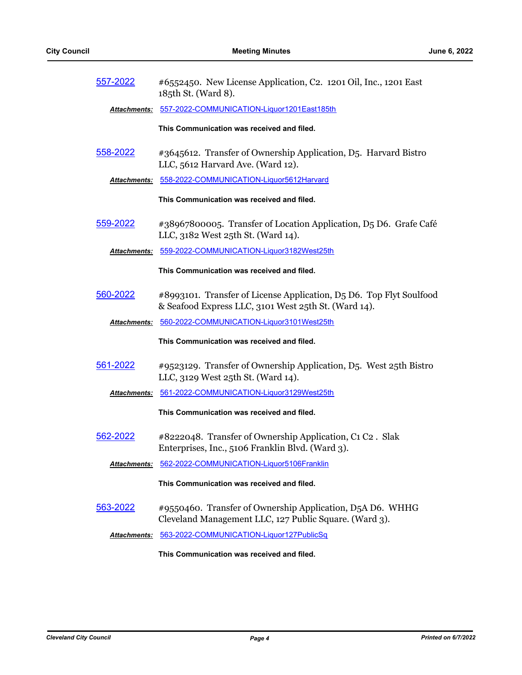| 557-2022        | #6552450. New License Application, C2. 1201 Oil, Inc., 1201 East<br>185th St. (Ward 8).                                     |
|-----------------|-----------------------------------------------------------------------------------------------------------------------------|
| Attachments:    | 557-2022-COMMUNICATION-Liquor1201East185th                                                                                  |
|                 | This Communication was received and filed.                                                                                  |
| 558-2022        | #3645612. Transfer of Ownership Application, D5. Harvard Bistro<br>LLC, 5612 Harvard Ave. (Ward 12).                        |
|                 | Attachments: 558-2022-COMMUNICATION-Liquor5612Harvard                                                                       |
|                 | This Communication was received and filed.                                                                                  |
| 559-2022        | #38967800005. Transfer of Location Application, D5 D6. Grafe Café<br>LLC, 3182 West 25th St. (Ward 14).                     |
|                 | Attachments: 559-2022-COMMUNICATION-Liquor3182West25th                                                                      |
|                 | This Communication was received and filed.                                                                                  |
| 560-2022        | #8993101. Transfer of License Application, D5 D6. Top Flyt Soulfood<br>& Seafood Express LLC, 3101 West 25th St. (Ward 14). |
|                 | Attachments: 560-2022-COMMUNICATION-Liquor3101West25th                                                                      |
|                 |                                                                                                                             |
|                 | This Communication was received and filed.                                                                                  |
| 561-2022        | #9523129. Transfer of Ownership Application, D5. West 25th Bistro<br>LLC, 3129 West 25th St. (Ward 14).                     |
|                 | Attachments: 561-2022-COMMUNICATION-Liquor3129West25th                                                                      |
|                 | This Communication was received and filed.                                                                                  |
| 562-2022        | #8222048. Transfer of Ownership Application, C1 C2. Slak<br>Enterprises, Inc., 5106 Franklin Blvd. (Ward 3).                |
|                 | Attachments: 562-2022-COMMUNICATION-Liquor5106Franklin                                                                      |
|                 | This Communication was received and filed.                                                                                  |
| <u>563-2022</u> | #9550460. Transfer of Ownership Application, D5A D6. WHHG<br>Cleveland Management LLC, 127 Public Square. (Ward 3).         |
| Attachments:    | 563-2022-COMMUNICATION-Liquor127PublicSq                                                                                    |
|                 | This Communication was received and filed.                                                                                  |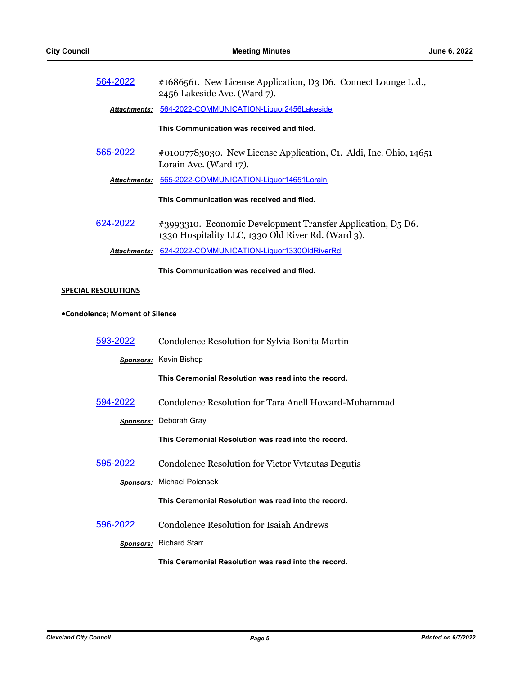| 564-2022                       | #1686561. New License Application, D3 D6. Connect Lounge Ltd.,<br>2456 Lakeside Ave. (Ward 7).                    |
|--------------------------------|-------------------------------------------------------------------------------------------------------------------|
| <b>Attachments:</b>            | 564-2022-COMMUNICATION-Liquor2456Lakeside                                                                         |
|                                | This Communication was received and filed.                                                                        |
| 565-2022                       | #01007783030. New License Application, C1. Aldi, Inc. Ohio, 14651<br>Lorain Ave. (Ward 17).                       |
| <b>Attachments:</b>            | 565-2022-COMMUNICATION-Liquor14651Lorain                                                                          |
|                                | This Communication was received and filed.                                                                        |
| 624-2022                       | #3993310. Economic Development Transfer Application, D5 D6.<br>1330 Hospitality LLC, 1330 Old River Rd. (Ward 3). |
| <b>Attachments:</b>            | 624-2022-COMMUNICATION-Liquor1330OldRiverRd                                                                       |
|                                | This Communication was received and filed.                                                                        |
| <b>SPECIAL RESOLUTIONS</b>     |                                                                                                                   |
| •Condolence; Moment of Silence |                                                                                                                   |
| 593-2022                       | Condolence Resolution for Sylvia Bonita Martin                                                                    |
|                                | <b>Sponsors:</b> Kevin Bishop                                                                                     |
|                                | This Ceremonial Resolution was read into the record.                                                              |
| 594-2022                       | Condolence Resolution for Tara Anell Howard-Muhammad                                                              |
|                                | Sponsors: Deborah Gray                                                                                            |
|                                | This Ceremonial Resolution was read into the record.                                                              |

[595-2022](http://cityofcleveland.legistar.com/gateway.aspx?m=l&id=/matter.aspx?key=30499) Condolence Resolution for Victor Vytautas Degutis

*Sponsors:* Michael Polensek

**This Ceremonial Resolution was read into the record.**

[596-2022](http://cityofcleveland.legistar.com/gateway.aspx?m=l&id=/matter.aspx?key=30500) Condolence Resolution for Isaiah Andrews

*Sponsors:* Richard Starr

**This Ceremonial Resolution was read into the record.**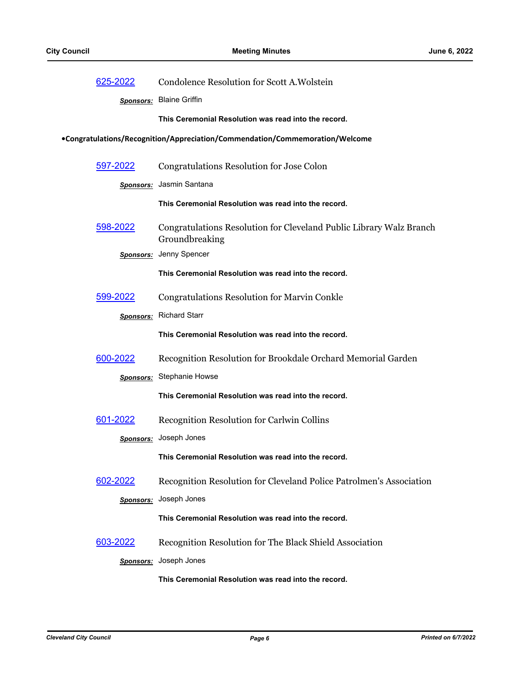| 625-2022         | Condolence Resolution for Scott A. Wolstein                                           |
|------------------|---------------------------------------------------------------------------------------|
|                  | Sponsors: Blaine Griffin                                                              |
|                  | This Ceremonial Resolution was read into the record.                                  |
|                  | •Congratulations/Recognition/Appreciation/Commendation/Commemoration/Welcome          |
| 597-2022         | Congratulations Resolution for Jose Colon                                             |
|                  | <b>Sponsors:</b> Jasmin Santana                                                       |
|                  | This Ceremonial Resolution was read into the record.                                  |
| 598-2022         | Congratulations Resolution for Cleveland Public Library Walz Branch<br>Groundbreaking |
|                  | Sponsors: Jenny Spencer                                                               |
|                  | This Ceremonial Resolution was read into the record.                                  |
| 599-2022         | <b>Congratulations Resolution for Marvin Conkle</b>                                   |
|                  | <b>Sponsors:</b> Richard Starr                                                        |
|                  | This Ceremonial Resolution was read into the record.                                  |
| 600-2022         | Recognition Resolution for Brookdale Orchard Memorial Garden                          |
|                  | <b>Sponsors:</b> Stephanie Howse                                                      |
|                  | This Ceremonial Resolution was read into the record.                                  |
| 601-2022         | Recognition Resolution for Carlwin Collins                                            |
|                  | Sponsors: Joseph Jones                                                                |
|                  | This Ceremonial Resolution was read into the record.                                  |
| 602-2022         | Recognition Resolution for Cleveland Police Patrolmen's Association                   |
| <b>Sponsors:</b> | Joseph Jones                                                                          |
|                  | This Ceremonial Resolution was read into the record.                                  |
| 603-2022         | Recognition Resolution for The Black Shield Association                               |
| <b>Sponsors:</b> | Joseph Jones                                                                          |
|                  | This Ceremonial Resolution was read into the record.                                  |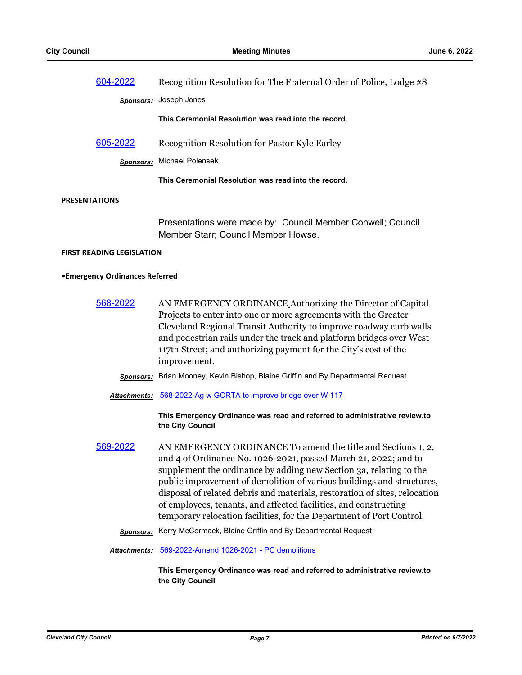| 604-2022<br>Recognition Resolution for The Fraternal Order of Police, Lodge #8 |                                                                                                                                                                                                                                                                                                                                                               |
|--------------------------------------------------------------------------------|---------------------------------------------------------------------------------------------------------------------------------------------------------------------------------------------------------------------------------------------------------------------------------------------------------------------------------------------------------------|
|                                                                                | Sponsors: Joseph Jones                                                                                                                                                                                                                                                                                                                                        |
|                                                                                | This Ceremonial Resolution was read into the record.                                                                                                                                                                                                                                                                                                          |
| 605-2022                                                                       | Recognition Resolution for Pastor Kyle Earley                                                                                                                                                                                                                                                                                                                 |
| <b>Sponsors:</b>                                                               | <b>Michael Polensek</b>                                                                                                                                                                                                                                                                                                                                       |
|                                                                                | This Ceremonial Resolution was read into the record.                                                                                                                                                                                                                                                                                                          |
| <b>PRESENTATIONS</b>                                                           |                                                                                                                                                                                                                                                                                                                                                               |
|                                                                                | Presentations were made by: Council Member Conwell; Council<br>Member Starr; Council Member Howse.                                                                                                                                                                                                                                                            |
| <b>FIRST READING LEGISLATION</b>                                               |                                                                                                                                                                                                                                                                                                                                                               |
| • Emergency Ordinances Referred                                                |                                                                                                                                                                                                                                                                                                                                                               |
| 568-2022                                                                       | AN EMERGENCY ORDINANCE Authorizing the Director of Capital<br>Projects to enter into one or more agreements with the Greater<br>Cleveland Regional Transit Authority to improve roadway curb walls<br>and pedestrian rails under the track and platform bridges over West<br>117th Street; and authorizing payment for the City's cost of the<br>improvement. |
| <b>Sponsors:</b>                                                               | Brian Mooney, Kevin Bishop, Blaine Griffin and By Departmental Request                                                                                                                                                                                                                                                                                        |

*Attachments:* [568-2022-Ag w GCRTA to improve bridge over W 117](http://cityofcleveland.legistar.com/gateway.aspx?M=F&ID=a2128cc8-0619-4a65-89ad-be412a19630a.doc)

**This Emergency Ordinance was read and referred to administrative review.to the City Council**

- [569-2022](http://cityofcleveland.legistar.com/gateway.aspx?m=l&id=/matter.aspx?key=30470) AN EMERGENCY ORDINANCE To amend the title and Sections 1, 2, and 4 of Ordinance No. 1026-2021, passed March 21, 2022; and to supplement the ordinance by adding new Section 3a, relating to the public improvement of demolition of various buildings and structures, disposal of related debris and materials, restoration of sites, relocation of employees, tenants, and affected facilities, and constructing temporary relocation facilities, for the Department of Port Control.
	- *Sponsors:* Kerry McCormack, Blaine Griffin and By Departmental Request

*Attachments:* [569-2022-Amend 1026-2021 - PC demolitions](http://cityofcleveland.legistar.com/gateway.aspx?M=F&ID=1e6f8942-1082-441e-bf1e-a2c60761f274.doc)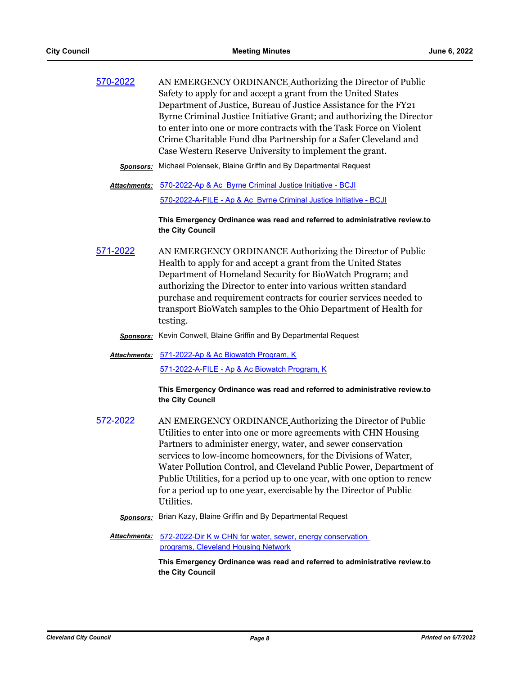| 570-2022 | AN EMERGENCY ORDINANCE Authorizing the Director of Public             |
|----------|-----------------------------------------------------------------------|
|          | Safety to apply for and accept a grant from the United States         |
|          | Department of Justice, Bureau of Justice Assistance for the FY21      |
|          | Byrne Criminal Justice Initiative Grant; and authorizing the Director |
|          | to enter into one or more contracts with the Task Force on Violent    |
|          | Crime Charitable Fund dba Partnership for a Safer Cleveland and       |
|          | Case Western Reserve University to implement the grant.               |
|          |                                                                       |

- *Sponsors:* Michael Polensek, Blaine Griffin and By Departmental Request
- [570-2022-Ap & Ac Byrne Criminal Justice Initiative BCJI](http://cityofcleveland.legistar.com/gateway.aspx?M=F&ID=ee05c33a-9c68-43dc-9542-ce47944d4383.doc) *Attachments:* [570-2022-A-FILE - Ap & Ac Byrne Criminal Justice Initiative - BCJI](http://cityofcleveland.legistar.com/gateway.aspx?M=F&ID=b52efb0f-aabd-4f32-a2cd-080ac56a2aa5.pdf)

**This Emergency Ordinance was read and referred to administrative review.to the City Council**

- [571-2022](http://cityofcleveland.legistar.com/gateway.aspx?m=l&id=/matter.aspx?key=30472) AN EMERGENCY ORDINANCE Authorizing the Director of Public Health to apply for and accept a grant from the United States Department of Homeland Security for BioWatch Program; and authorizing the Director to enter into various written standard purchase and requirement contracts for courier services needed to transport BioWatch samples to the Ohio Department of Health for testing.
	- *Sponsors:* Kevin Conwell, Blaine Griffin and By Departmental Request
	- [571-2022-Ap & Ac Biowatch Program, K](http://cityofcleveland.legistar.com/gateway.aspx?M=F&ID=619f8423-1711-42f9-9174-772d0d538ced.doc) *Attachments:* [571-2022-A-FILE - Ap & Ac Biowatch Program, K](http://cityofcleveland.legistar.com/gateway.aspx?M=F&ID=b632fe1a-dfcf-47ef-80ec-8fcabc3462a9.pdf)

**This Emergency Ordinance was read and referred to administrative review.to the City Council**

- [572-2022](http://cityofcleveland.legistar.com/gateway.aspx?m=l&id=/matter.aspx?key=30473) AN EMERGENCY ORDINANCE Authorizing the Director of Public Utilities to enter into one or more agreements with CHN Housing Partners to administer energy, water, and sewer conservation services to low-income homeowners, for the Divisions of Water, Water Pollution Control, and Cleveland Public Power, Department of Public Utilities, for a period up to one year, with one option to renew for a period up to one year, exercisable by the Director of Public Utilities.
	- *Sponsors:* Brian Kazy, Blaine Griffin and By Departmental Request
	- Attachments: 572-2022-Dir K w CHN for water, sewer, energy conservation programs, Cleveland Housing Network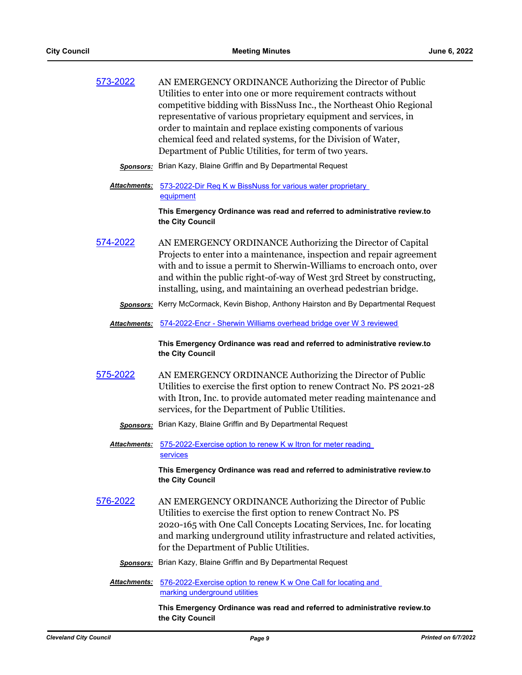| 573-2022 | AN EMERGENCY ORDINANCE Authorizing the Director of Public           |
|----------|---------------------------------------------------------------------|
|          | Utilities to enter into one or more requirement contracts without   |
|          | competitive bidding with BissNuss Inc., the Northeast Ohio Regional |
|          | representative of various proprietary equipment and services, in    |
|          | order to maintain and replace existing components of various        |
|          | chemical feed and related systems, for the Division of Water,       |
|          | Department of Public Utilities, for term of two years.              |
|          |                                                                     |

- *Sponsors:* Brian Kazy, Blaine Griffin and By Departmental Request
- Attachments: 573-2022-Dir Req K w BissNuss for various water proprietary equipment

**This Emergency Ordinance was read and referred to administrative review.to the City Council**

- [574-2022](http://cityofcleveland.legistar.com/gateway.aspx?m=l&id=/matter.aspx?key=30475) AN EMERGENCY ORDINANCE Authorizing the Director of Capital Projects to enter into a maintenance, inspection and repair agreement with and to issue a permit to Sherwin-Williams to encroach onto, over and within the public right-of-way of West 3rd Street by constructing, installing, using, and maintaining an overhead pedestrian bridge.
	- *Sponsors:* Kerry McCormack, Kevin Bishop, Anthony Hairston and By Departmental Request
	- *Attachments:* [574-2022-Encr Sherwin Williams overhead bridge over W 3 reviewed](http://cityofcleveland.legistar.com/gateway.aspx?M=F&ID=4f28b884-2078-4aa6-a947-b119ad2119a1.doc)

**This Emergency Ordinance was read and referred to administrative review.to the City Council**

- [575-2022](http://cityofcleveland.legistar.com/gateway.aspx?m=l&id=/matter.aspx?key=30476) AN EMERGENCY ORDINANCE Authorizing the Director of Public Utilities to exercise the first option to renew Contract No. PS 2021-28 with Itron, Inc. to provide automated meter reading maintenance and services, for the Department of Public Utilities.
	- *Sponsors:* Brian Kazy, Blaine Griffin and By Departmental Request
	- Attachments: 575-2022-Exercise option to renew K w Itron for meter reading services

**This Emergency Ordinance was read and referred to administrative review.to the City Council**

- [576-2022](http://cityofcleveland.legistar.com/gateway.aspx?m=l&id=/matter.aspx?key=30477) AN EMERGENCY ORDINANCE Authorizing the Director of Public Utilities to exercise the first option to renew Contract No. PS 2020-165 with One Call Concepts Locating Services, Inc. for locating and marking underground utility infrastructure and related activities, for the Department of Public Utilities.
	- *Sponsors:* Brian Kazy, Blaine Griffin and By Departmental Request
	- Attachments: 576-2022-Exercise option to renew K w One Call for locating and marking underground utilities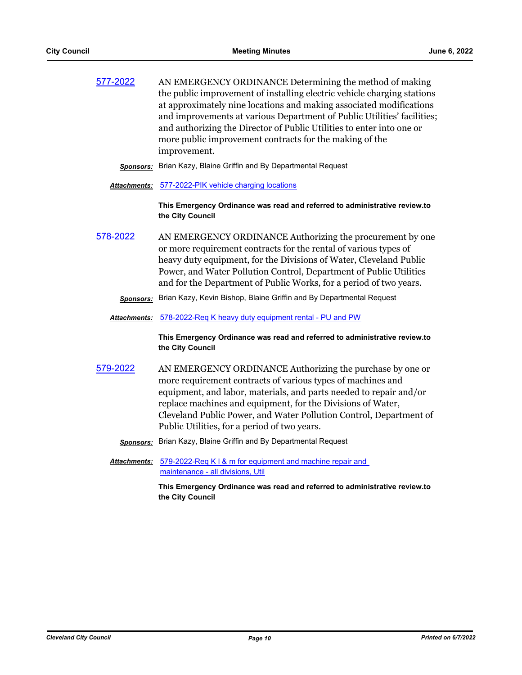| 577-2022 | AN EMERGENCY ORDINANCE Determining the method of making                 |
|----------|-------------------------------------------------------------------------|
|          | the public improvement of installing electric vehicle charging stations |
|          | at approximately nine locations and making associated modifications     |
|          | and improvements at various Department of Public Utilities' facilities; |
|          | and authorizing the Director of Public Utilities to enter into one or   |
|          | more public improvement contracts for the making of the                 |
|          | improvement.                                                            |

*Sponsors:* Brian Kazy, Blaine Griffin and By Departmental Request

#### *Attachments:* [577-2022-PIK vehicle charging locations](http://cityofcleveland.legistar.com/gateway.aspx?M=F&ID=68da25f8-ff62-416e-8ef3-77dd849f7278.doc)

**This Emergency Ordinance was read and referred to administrative review.to the City Council**

- [578-2022](http://cityofcleveland.legistar.com/gateway.aspx?m=l&id=/matter.aspx?key=30479) AN EMERGENCY ORDINANCE Authorizing the procurement by one or more requirement contracts for the rental of various types of heavy duty equipment, for the Divisions of Water, Cleveland Public Power, and Water Pollution Control, Department of Public Utilities and for the Department of Public Works, for a period of two years.
	- *Sponsors:* Brian Kazy, Kevin Bishop, Blaine Griffin and By Departmental Request
	- *Attachments:* [578-2022-Req K heavy duty equipment rental PU and PW](http://cityofcleveland.legistar.com/gateway.aspx?M=F&ID=c37482fc-31cc-4e35-ae70-697be6daf57c.doc)

**This Emergency Ordinance was read and referred to administrative review.to the City Council**

- [579-2022](http://cityofcleveland.legistar.com/gateway.aspx?m=l&id=/matter.aspx?key=30480) AN EMERGENCY ORDINANCE Authorizing the purchase by one or more requirement contracts of various types of machines and equipment, and labor, materials, and parts needed to repair and/or replace machines and equipment, for the Divisions of Water, Cleveland Public Power, and Water Pollution Control, Department of Public Utilities, for a period of two years.
	- *Sponsors:* Brian Kazy, Blaine Griffin and By Departmental Request

Attachments: 579-2022-Req K I & m for equipment and machine repair and maintenance - all divisions, Util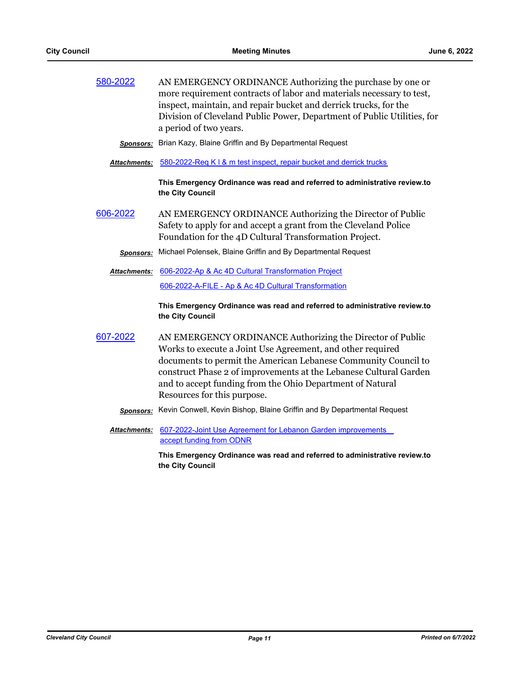| 580-2022 | AN EMERGENCY ORDINANCE Authorizing the purchase by one or               |
|----------|-------------------------------------------------------------------------|
|          | more requirement contracts of labor and materials necessary to test,    |
|          | inspect, maintain, and repair bucket and derrick trucks, for the        |
|          | Division of Cleveland Public Power, Department of Public Utilities, for |
|          | a period of two years.                                                  |

*Sponsors:* Brian Kazy, Blaine Griffin and By Departmental Request

*Attachments:* [580-2022-Req K l & m test inspect, repair bucket and derrick trucks](http://cityofcleveland.legistar.com/gateway.aspx?M=F&ID=c297b176-4d14-42c6-8165-5ee635813413.doc)

**This Emergency Ordinance was read and referred to administrative review.to the City Council**

[606-2022](http://cityofcleveland.legistar.com/gateway.aspx?m=l&id=/matter.aspx?key=30510) AN EMERGENCY ORDINANCE Authorizing the Director of Public Safety to apply for and accept a grant from the Cleveland Police Foundation for the 4D Cultural Transformation Project.

*Sponsors:* Michael Polensek, Blaine Griffin and By Departmental Request

[606-2022-Ap & Ac 4D Cultural Transformation Project](http://cityofcleveland.legistar.com/gateway.aspx?M=F&ID=7a94696b-57f3-4007-9037-c103096bfdbf.doc) *Attachments:* [606-2022-A-FILE - Ap & Ac 4D Cultural Transformation](http://cityofcleveland.legistar.com/gateway.aspx?M=F&ID=153b9bbd-68ce-4a78-b0f0-6168f471503a.pdf)

> **This Emergency Ordinance was read and referred to administrative review.to the City Council**

- [607-2022](http://cityofcleveland.legistar.com/gateway.aspx?m=l&id=/matter.aspx?key=30511) AN EMERGENCY ORDINANCE Authorizing the Director of Public Works to execute a Joint Use Agreement, and other required documents to permit the American Lebanese Community Council to construct Phase 2 of improvements at the Lebanese Cultural Garden and to accept funding from the Ohio Department of Natural Resources for this purpose.
	- *Sponsors:* Kevin Conwell, Kevin Bishop, Blaine Griffin and By Departmental Request
	- **Attachments: 607-2022-Joint Use Agreement for Lebanon Garden improvements** accept funding from ODNR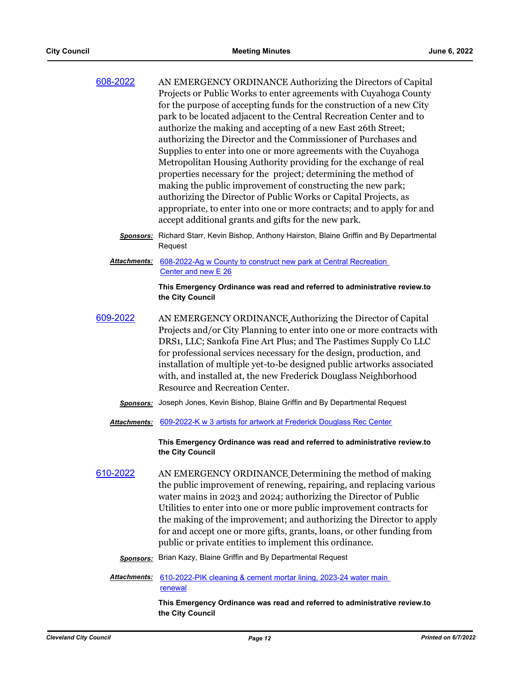| 608-2022 | AN EMERGENCY ORDINANCE Authorizing the Directors of Capital            |
|----------|------------------------------------------------------------------------|
|          | Projects or Public Works to enter agreements with Cuyahoga County      |
|          | for the purpose of accepting funds for the construction of a new City  |
|          | park to be located adjacent to the Central Recreation Center and to    |
|          | authorize the making and accepting of a new East 26th Street;          |
|          | authorizing the Director and the Commissioner of Purchases and         |
|          | Supplies to enter into one or more agreements with the Cuyahoga        |
|          | Metropolitan Housing Authority providing for the exchange of real      |
|          | properties necessary for the project; determining the method of        |
|          | making the public improvement of constructing the new park;            |
|          | authorizing the Director of Public Works or Capital Projects, as       |
|          | appropriate, to enter into one or more contracts; and to apply for and |
|          | accept additional grants and gifts for the new park.                   |
|          |                                                                        |

- *Sponsors:* Richard Starr, Kevin Bishop, Anthony Hairston, Blaine Griffin and By Departmental **Request**
- [608-2022-Ag w County to construct new park at Central Recreation](http://cityofcleveland.legistar.com/gateway.aspx?M=F&ID=20a9a4e7-683f-42a6-af0c-6638e7f35cf6.doc)  Center and new E 26 *Attachments:*

**This Emergency Ordinance was read and referred to administrative review.to the City Council**

- [609-2022](http://cityofcleveland.legistar.com/gateway.aspx?m=l&id=/matter.aspx?key=30513) AN EMERGENCY ORDINANCE Authorizing the Director of Capital Projects and/or City Planning to enter into one or more contracts with DRS1, LLC; Sankofa Fine Art Plus; and The Pastimes Supply Co LLC for professional services necessary for the design, production, and installation of multiple yet-to-be designed public artworks associated with, and installed at, the new Frederick Douglass Neighborhood Resource and Recreation Center.
	- *Sponsors:* Joseph Jones, Kevin Bishop, Blaine Griffin and By Departmental Request
	- *Attachments:* [609-2022-K w 3 artists for artwork at Frederick Douglass Rec Center](http://cityofcleveland.legistar.com/gateway.aspx?M=F&ID=76acd768-41e2-4fa3-a8d0-4828de91660d.doc)

**This Emergency Ordinance was read and referred to administrative review.to the City Council**

- [610-2022](http://cityofcleveland.legistar.com/gateway.aspx?m=l&id=/matter.aspx?key=30514) AN EMERGENCY ORDINANCE Determining the method of making the public improvement of renewing, repairing, and replacing various water mains in 2023 and 2024; authorizing the Director of Public Utilities to enter into one or more public improvement contracts for the making of the improvement; and authorizing the Director to apply for and accept one or more gifts, grants, loans, or other funding from public or private entities to implement this ordinance.
	- *Sponsors:* Brian Kazy, Blaine Griffin and By Departmental Request
	- Attachments: 610-2022-PIK cleaning & cement mortar lining, 2023-24 water main renewal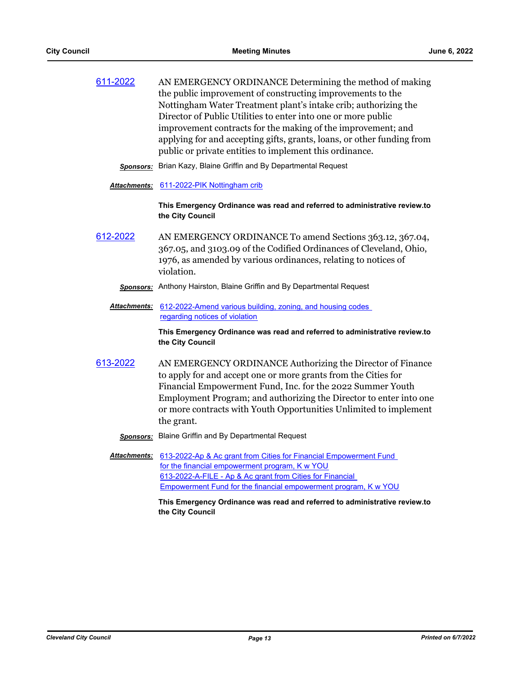| 611-2022 | AN EMERGENCY ORDINANCE Determining the method of making                |
|----------|------------------------------------------------------------------------|
|          | the public improvement of constructing improvements to the             |
|          | Nottingham Water Treatment plant's intake crib; authorizing the        |
|          | Director of Public Utilities to enter into one or more public          |
|          | improvement contracts for the making of the improvement; and           |
|          | applying for and accepting gifts, grants, loans, or other funding from |
|          | public or private entities to implement this ordinance.                |
|          |                                                                        |

*Sponsors:* Brian Kazy, Blaine Griffin and By Departmental Request

#### *Attachments:* [611-2022-PIK Nottingham crib](http://cityofcleveland.legistar.com/gateway.aspx?M=F&ID=6e2cc85f-942e-44af-8c5a-f2a249bf98de.doc)

**This Emergency Ordinance was read and referred to administrative review.to the City Council**

- [612-2022](http://cityofcleveland.legistar.com/gateway.aspx?m=l&id=/matter.aspx?key=30516) AN EMERGENCY ORDINANCE To amend Sections 363.12, 367.04, 367.05, and 3103.09 of the Codified Ordinances of Cleveland, Ohio, 1976, as amended by various ordinances, relating to notices of violation.
	- *Sponsors:* Anthony Hairston, Blaine Griffin and By Departmental Request
	- Attachments: 612-2022-Amend various building, zoning, and housing codes regarding notices of violation

**This Emergency Ordinance was read and referred to administrative review.to the City Council**

[613-2022](http://cityofcleveland.legistar.com/gateway.aspx?m=l&id=/matter.aspx?key=30517) AN EMERGENCY ORDINANCE Authorizing the Director of Finance to apply for and accept one or more grants from the Cities for Financial Empowerment Fund, Inc. for the 2022 Summer Youth Employment Program; and authorizing the Director to enter into one or more contracts with Youth Opportunities Unlimited to implement the grant.

*Sponsors:* Blaine Griffin and By Departmental Request

Attachments: 613-2022-Ap & Ac grant from Cities for Financial Empowerment Fund for the financial empowerment program, K w YOU 613-2022-A-FILE - Ap & Ac grant from Cities for Financial [Empowerment Fund for the financial empowerment program, K w YOU](http://cityofcleveland.legistar.com/gateway.aspx?M=F&ID=ff8ae8c9-a0c7-409f-9464-bc9824b79ef4.pdf)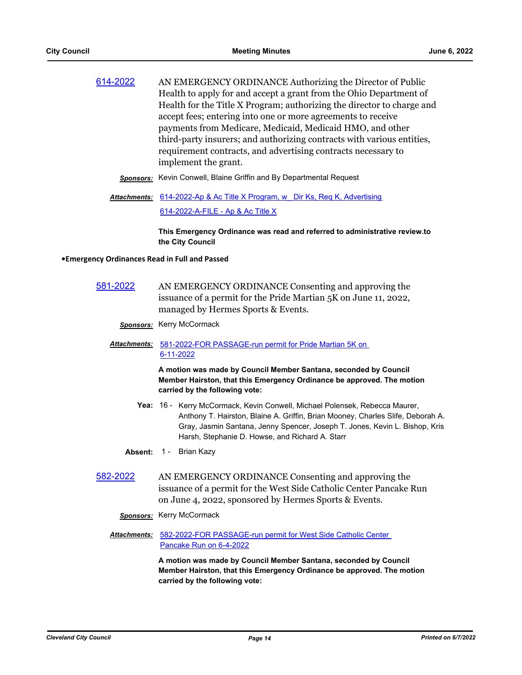|                      | Health to apply for and accept a grant from the Ohio Department of     |
|----------------------|------------------------------------------------------------------------|
|                      | Health for the Title X Program; authorizing the director to charge and |
|                      | accept fees; entering into one or more agreements to receive           |
|                      | payments from Medicare, Medicaid, Medicaid HMO, and other              |
|                      | third-party insurers; and authorizing contracts with various entities, |
|                      | requirement contracts, and advertising contracts necessary to          |
| implement the grant. |                                                                        |

- *Sponsors:* Kevin Conwell, Blaine Griffin and By Departmental Request
- Attachments: 614-2022-Ap & Ac Title X Program, w Dir Ks, Req K, Advertising [614-2022-A-FILE - Ap & Ac Title X](http://cityofcleveland.legistar.com/gateway.aspx?M=F&ID=969c2575-8064-4bd9-ad8a-6489b8abe643.pdf)

**This Emergency Ordinance was read and referred to administrative review.to the City Council**

#### **•Emergency Ordinances Read in Full and Passed**

- [581-2022](http://cityofcleveland.legistar.com/gateway.aspx?m=l&id=/matter.aspx?key=30482) AN EMERGENCY ORDINANCE Consenting and approving the issuance of a permit for the Pride Martian 5K on June 11, 2022, managed by Hermes Sports & Events.
	- *Sponsors:* Kerry McCormack

### Attachments: 581-2022-FOR PASSAGE-run permit for Pride Martian 5K on 6-11-2022

**A motion was made by Council Member Santana, seconded by Council Member Hairston, that this Emergency Ordinance be approved. The motion carried by the following vote:**

- Yea: 16 Kerry McCormack, Kevin Conwell, Michael Polensek, Rebecca Maurer, Anthony T. Hairston, Blaine A. Griffin, Brian Mooney, Charles Slife, Deborah A. Gray, Jasmin Santana, Jenny Spencer, Joseph T. Jones, Kevin L. Bishop, Kris Harsh, Stephanie D. Howse, and Richard A. Starr
- **Absent:** 1 Brian Kazy
- [582-2022](http://cityofcleveland.legistar.com/gateway.aspx?m=l&id=/matter.aspx?key=30483) AN EMERGENCY ORDINANCE Consenting and approving the issuance of a permit for the West Side Catholic Center Pancake Run on June 4, 2022, sponsored by Hermes Sports & Events.
	- *Sponsors:* Kerry McCormack
	- Attachments: 582-2022-FOR PASSAGE-run permit for West Side Catholic Center Pancake Run on 6-4-2022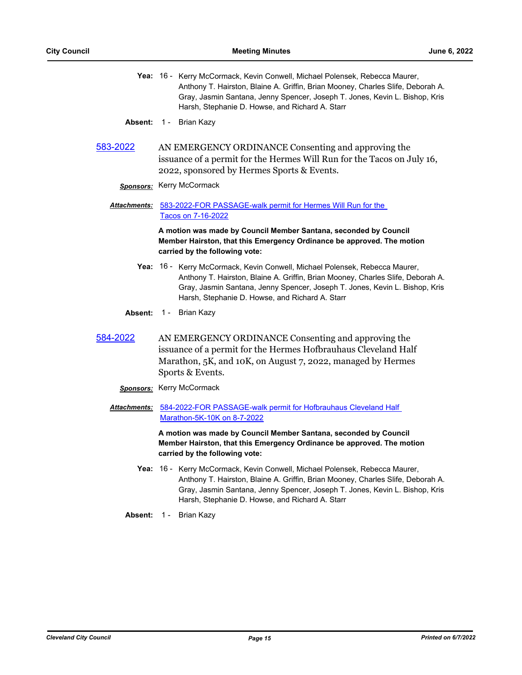- Yea: 16 Kerry McCormack, Kevin Conwell, Michael Polensek, Rebecca Maurer, Anthony T. Hairston, Blaine A. Griffin, Brian Mooney, Charles Slife, Deborah A. Gray, Jasmin Santana, Jenny Spencer, Joseph T. Jones, Kevin L. Bishop, Kris Harsh, Stephanie D. Howse, and Richard A. Starr
- Absent: 1 Brian Kazy
- [583-2022](http://cityofcleveland.legistar.com/gateway.aspx?m=l&id=/matter.aspx?key=30484) AN EMERGENCY ORDINANCE Consenting and approving the issuance of a permit for the Hermes Will Run for the Tacos on July 16, 2022, sponsored by Hermes Sports & Events.

# *Sponsors:* Kerry McCormack

Attachments: 583-2022-FOR PASSAGE-walk permit for Hermes Will Run for the Tacos on 7-16-2022

> **A motion was made by Council Member Santana, seconded by Council Member Hairston, that this Emergency Ordinance be approved. The motion carried by the following vote:**

- Yea: 16 Kerry McCormack, Kevin Conwell, Michael Polensek, Rebecca Maurer, Anthony T. Hairston, Blaine A. Griffin, Brian Mooney, Charles Slife, Deborah A. Gray, Jasmin Santana, Jenny Spencer, Joseph T. Jones, Kevin L. Bishop, Kris Harsh, Stephanie D. Howse, and Richard A. Starr
- **Absent:** 1 Brian Kazy
- [584-2022](http://cityofcleveland.legistar.com/gateway.aspx?m=l&id=/matter.aspx?key=30485) AN EMERGENCY ORDINANCE Consenting and approving the issuance of a permit for the Hermes Hofbrauhaus Cleveland Half Marathon, 5K, and 10K, on August 7, 2022, managed by Hermes Sports & Events.
	- *Sponsors:* Kerry McCormack
	- [584-2022-FOR PASSAGE-walk permit for Hofbrauhaus Cleveland Half](http://cityofcleveland.legistar.com/gateway.aspx?M=F&ID=0dc9149d-6bb3-4d5e-9cd8-1987a8fad72b.docx)  *Attachments:* Marathon-5K-10K on 8-7-2022

- Yea: 16 Kerry McCormack, Kevin Conwell, Michael Polensek, Rebecca Maurer, Anthony T. Hairston, Blaine A. Griffin, Brian Mooney, Charles Slife, Deborah A. Gray, Jasmin Santana, Jenny Spencer, Joseph T. Jones, Kevin L. Bishop, Kris Harsh, Stephanie D. Howse, and Richard A. Starr
- **Absent:** 1 Brian Kazy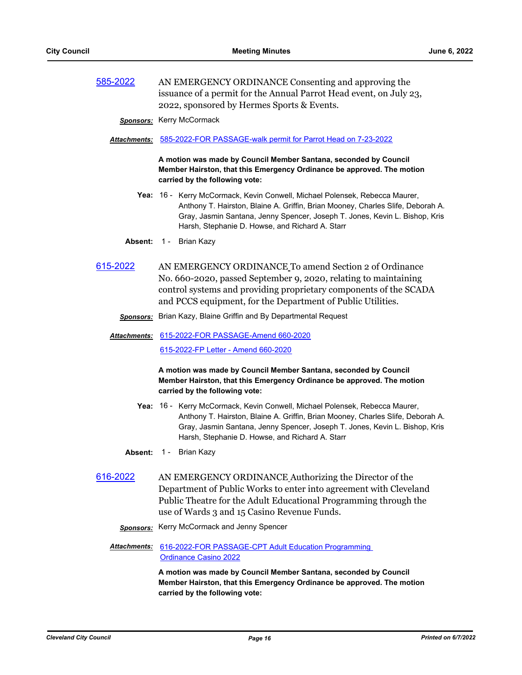[585-2022](http://cityofcleveland.legistar.com/gateway.aspx?m=l&id=/matter.aspx?key=30486) AN EMERGENCY ORDINANCE Consenting and approving the issuance of a permit for the Annual Parrot Head event, on July 23, 2022, sponsored by Hermes Sports & Events.

*Sponsors:* Kerry McCormack

### *Attachments:* [585-2022-FOR PASSAGE-walk permit for Parrot Head on 7-23-2022](http://cityofcleveland.legistar.com/gateway.aspx?M=F&ID=ef962789-2b82-4edc-9ffb-cbe062b395d4.docx)

**A motion was made by Council Member Santana, seconded by Council Member Hairston, that this Emergency Ordinance be approved. The motion carried by the following vote:**

- Yea: 16 Kerry McCormack, Kevin Conwell, Michael Polensek, Rebecca Maurer, Anthony T. Hairston, Blaine A. Griffin, Brian Mooney, Charles Slife, Deborah A. Gray, Jasmin Santana, Jenny Spencer, Joseph T. Jones, Kevin L. Bishop, Kris Harsh, Stephanie D. Howse, and Richard A. Starr
- **Absent:** 1 Brian Kazy
- [615-2022](http://cityofcleveland.legistar.com/gateway.aspx?m=l&id=/matter.aspx?key=30519) AN EMERGENCY ORDINANCE To amend Section 2 of Ordinance No. 660-2020, passed September 9, 2020, relating to maintaining control systems and providing proprietary components of the SCADA and PCCS equipment, for the Department of Public Utilities.
	- *Sponsors:* Brian Kazy, Blaine Griffin and By Departmental Request

[615-2022-FOR PASSAGE-Amend 660-2020](http://cityofcleveland.legistar.com/gateway.aspx?M=F&ID=0770a0a8-640b-44b3-b0b3-d99971edc7df.doc) *Attachments:* [615-2022-FP Letter - Amend 660-2020](http://cityofcleveland.legistar.com/gateway.aspx?M=F&ID=0588c237-00c5-4ed7-8403-fe186d5f65bb.pdf)

# **A motion was made by Council Member Santana, seconded by Council Member Hairston, that this Emergency Ordinance be approved. The motion carried by the following vote:**

- Yea: 16 Kerry McCormack, Kevin Conwell, Michael Polensek, Rebecca Maurer, Anthony T. Hairston, Blaine A. Griffin, Brian Mooney, Charles Slife, Deborah A. Gray, Jasmin Santana, Jenny Spencer, Joseph T. Jones, Kevin L. Bishop, Kris Harsh, Stephanie D. Howse, and Richard A. Starr
- **Absent:** 1 Brian Kazy
- [616-2022](http://cityofcleveland.legistar.com/gateway.aspx?m=l&id=/matter.aspx?key=30520) AN EMERGENCY ORDINANCE Authorizing the Director of the Department of Public Works to enter into agreement with Cleveland Public Theatre for the Adult Educational Programming through the use of Wards 3 and 15 Casino Revenue Funds.
	- *Sponsors:* Kerry McCormack and Jenny Spencer
	- Attachments: 616-2022-FOR PASSAGE-CPT Adult Education Programming Ordinance Casino 2022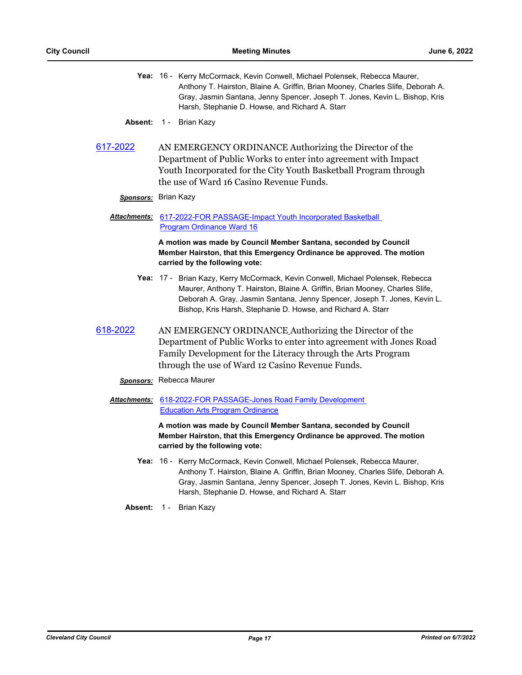- Yea: 16 Kerry McCormack, Kevin Conwell, Michael Polensek, Rebecca Maurer, Anthony T. Hairston, Blaine A. Griffin, Brian Mooney, Charles Slife, Deborah A. Gray, Jasmin Santana, Jenny Spencer, Joseph T. Jones, Kevin L. Bishop, Kris Harsh, Stephanie D. Howse, and Richard A. Starr
- **Absent:** 1 Brian Kazy
- [617-2022](http://cityofcleveland.legistar.com/gateway.aspx?m=l&id=/matter.aspx?key=30521) AN EMERGENCY ORDINANCE Authorizing the Director of the Department of Public Works to enter into agreement with Impact Youth Incorporated for the City Youth Basketball Program through the use of Ward 16 Casino Revenue Funds.

#### *Sponsors:* Brian Kazy

Attachments: 617-2022-FOR PASSAGE-Impact Youth Incorporated Basketball Program Ordinance Ward 16

> **A motion was made by Council Member Santana, seconded by Council Member Hairston, that this Emergency Ordinance be approved. The motion carried by the following vote:**

- Yea: 17 Brian Kazy, Kerry McCormack, Kevin Conwell, Michael Polensek, Rebecca Maurer, Anthony T. Hairston, Blaine A. Griffin, Brian Mooney, Charles Slife, Deborah A. Gray, Jasmin Santana, Jenny Spencer, Joseph T. Jones, Kevin L. Bishop, Kris Harsh, Stephanie D. Howse, and Richard A. Starr
- [618-2022](http://cityofcleveland.legistar.com/gateway.aspx?m=l&id=/matter.aspx?key=30522) AN EMERGENCY ORDINANCE Authorizing the Director of the Department of Public Works to enter into agreement with Jones Road Family Development for the Literacy through the Arts Program through the use of Ward 12 Casino Revenue Funds.
	- *Sponsors:* Rebecca Maurer
	- Attachments: 618-2022-FOR PASSAGE-Jones Road Family Development Education Arts Program Ordinance

- Yea: 16 Kerry McCormack, Kevin Conwell, Michael Polensek, Rebecca Maurer, Anthony T. Hairston, Blaine A. Griffin, Brian Mooney, Charles Slife, Deborah A. Gray, Jasmin Santana, Jenny Spencer, Joseph T. Jones, Kevin L. Bishop, Kris Harsh, Stephanie D. Howse, and Richard A. Starr
- **Absent:** 1 Brian Kazy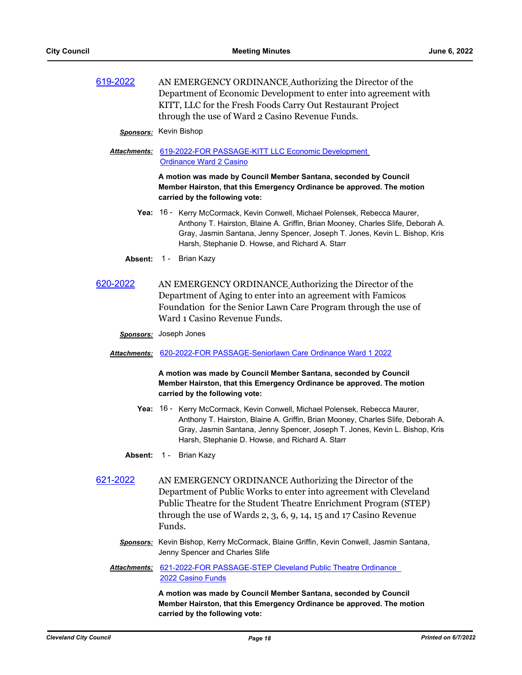| 619-2022 | AN EMERGENCY ORDINANCE Authorizing the Director of the          |
|----------|-----------------------------------------------------------------|
|          | Department of Economic Development to enter into agreement with |
|          | KITT, LLC for the Fresh Foods Carry Out Restaurant Project      |
|          | through the use of Ward 2 Casino Revenue Funds.                 |

#### *Sponsors:* Kevin Bishop

[619-2022-FOR PASSAGE-KITT LLC Economic Development](http://cityofcleveland.legistar.com/gateway.aspx?M=F&ID=3a5163cb-ee62-4838-a19c-864239da90e6.doc)  *Attachments:* Ordinance Ward 2 Casino

> **A motion was made by Council Member Santana, seconded by Council Member Hairston, that this Emergency Ordinance be approved. The motion carried by the following vote:**

- Yea: 16 Kerry McCormack, Kevin Conwell, Michael Polensek, Rebecca Maurer, Anthony T. Hairston, Blaine A. Griffin, Brian Mooney, Charles Slife, Deborah A. Gray, Jasmin Santana, Jenny Spencer, Joseph T. Jones, Kevin L. Bishop, Kris Harsh, Stephanie D. Howse, and Richard A. Starr
- **Absent:** 1 Brian Kazy
- [620-2022](http://cityofcleveland.legistar.com/gateway.aspx?m=l&id=/matter.aspx?key=30524) AN EMERGENCY ORDINANCE Authorizing the Director of the Department of Aging to enter into an agreement with Famicos Foundation for the Senior Lawn Care Program through the use of Ward 1 Casino Revenue Funds.
	- *Sponsors:* Joseph Jones

#### *Attachments:* [620-2022-FOR PASSAGE-Seniorlawn Care Ordinance Ward 1 2022](http://cityofcleveland.legistar.com/gateway.aspx?M=F&ID=69a73d8c-a0e4-4572-b1fa-4113f78d7862.doc)

**A motion was made by Council Member Santana, seconded by Council Member Hairston, that this Emergency Ordinance be approved. The motion carried by the following vote:**

- Yea: 16 Kerry McCormack, Kevin Conwell, Michael Polensek, Rebecca Maurer, Anthony T. Hairston, Blaine A. Griffin, Brian Mooney, Charles Slife, Deborah A. Gray, Jasmin Santana, Jenny Spencer, Joseph T. Jones, Kevin L. Bishop, Kris Harsh, Stephanie D. Howse, and Richard A. Starr
- **Absent:** 1 Brian Kazy
- [621-2022](http://cityofcleveland.legistar.com/gateway.aspx?m=l&id=/matter.aspx?key=30525) AN EMERGENCY ORDINANCE Authorizing the Director of the Department of Public Works to enter into agreement with Cleveland Public Theatre for the Student Theatre Enrichment Program (STEP) through the use of Wards 2, 3, 6, 9, 14, 15 and 17 Casino Revenue Funds.
	- *Sponsors:* Kevin Bishop, Kerry McCormack, Blaine Griffin, Kevin Conwell, Jasmin Santana, Jenny Spencer and Charles Slife
	- Attachments: 621-2022-FOR PASSAGE-STEP Cleveland Public Theatre Ordinance 2022 Casino Funds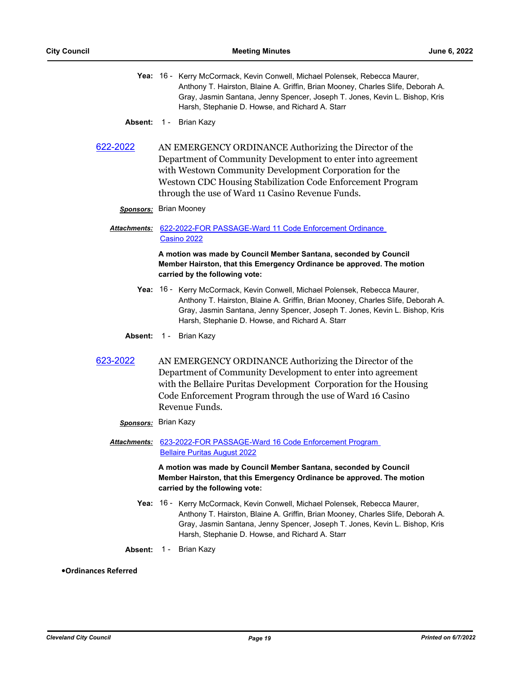- Yea: 16 Kerry McCormack, Kevin Conwell, Michael Polensek, Rebecca Maurer, Anthony T. Hairston, Blaine A. Griffin, Brian Mooney, Charles Slife, Deborah A. Gray, Jasmin Santana, Jenny Spencer, Joseph T. Jones, Kevin L. Bishop, Kris Harsh, Stephanie D. Howse, and Richard A. Starr
- **Absent:** 1 Brian Kazy
- [622-2022](http://cityofcleveland.legistar.com/gateway.aspx?m=l&id=/matter.aspx?key=30526) AN EMERGENCY ORDINANCE Authorizing the Director of the Department of Community Development to enter into agreement with Westown Community Development Corporation for the Westown CDC Housing Stabilization Code Enforcement Program through the use of Ward 11 Casino Revenue Funds.

# *Sponsors:* Brian Mooney

# Attachments: 622-2022-FOR PASSAGE-Ward 11 Code Enforcement Ordinance Casino 2022

**A motion was made by Council Member Santana, seconded by Council Member Hairston, that this Emergency Ordinance be approved. The motion carried by the following vote:**

- Yea: 16 Kerry McCormack, Kevin Conwell, Michael Polensek, Rebecca Maurer, Anthony T. Hairston, Blaine A. Griffin, Brian Mooney, Charles Slife, Deborah A. Gray, Jasmin Santana, Jenny Spencer, Joseph T. Jones, Kevin L. Bishop, Kris Harsh, Stephanie D. Howse, and Richard A. Starr
- **Absent:** 1 Brian Kazy
- [623-2022](http://cityofcleveland.legistar.com/gateway.aspx?m=l&id=/matter.aspx?key=30527) AN EMERGENCY ORDINANCE Authorizing the Director of the Department of Community Development to enter into agreement with the Bellaire Puritas Development Corporation for the Housing Code Enforcement Program through the use of Ward 16 Casino Revenue Funds.

### *Sponsors:* Brian Kazy

[623-2022-FOR PASSAGE-Ward 16 Code Enforcement Program](http://cityofcleveland.legistar.com/gateway.aspx?M=F&ID=f4543ac3-1619-425f-86b1-912510fffefb.doc)  *Attachments:* Bellaire Puritas August 2022

> **A motion was made by Council Member Santana, seconded by Council Member Hairston, that this Emergency Ordinance be approved. The motion carried by the following vote:**

- Yea: 16 Kerry McCormack, Kevin Conwell, Michael Polensek, Rebecca Maurer, Anthony T. Hairston, Blaine A. Griffin, Brian Mooney, Charles Slife, Deborah A. Gray, Jasmin Santana, Jenny Spencer, Joseph T. Jones, Kevin L. Bishop, Kris Harsh, Stephanie D. Howse, and Richard A. Starr
- **Absent:** 1 Brian Kazy

### **•Ordinances Referred**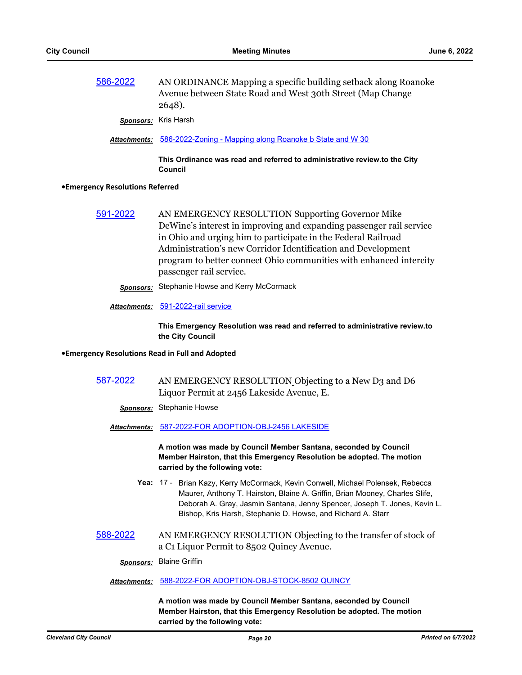[586-2022](http://cityofcleveland.legistar.com/gateway.aspx?m=l&id=/matter.aspx?key=30487) AN ORDINANCE Mapping a specific building setback along Roanoke Avenue between State Road and West 30th Street (Map Change 2648).

*Sponsors:* Kris Harsh

*Attachments:* [586-2022-Zoning - Mapping along Roanoke b State and W 30](http://cityofcleveland.legistar.com/gateway.aspx?M=F&ID=99ed4489-2fbd-453c-b8a2-9f5a595dcd49.docx)

**This Ordinance was read and referred to administrative review.to the City Council**

#### **•Emergency Resolutions Referred**

[591-2022](http://cityofcleveland.legistar.com/gateway.aspx?m=l&id=/matter.aspx?key=30492) AN EMERGENCY RESOLUTION Supporting Governor Mike DeWine's interest in improving and expanding passenger rail service in Ohio and urging him to participate in the Federal Railroad Administration's new Corridor Identification and Development program to better connect Ohio communities with enhanced intercity passenger rail service.

*Sponsors:* Stephanie Howse and Kerry McCormack

#### *Attachments:* [591-2022-rail service](http://cityofcleveland.legistar.com/gateway.aspx?M=F&ID=2ea8605a-68e3-4e4f-8be9-51a97b4efcf6.docx)

**This Emergency Resolution was read and referred to administrative review.to the City Council**

#### **•Emergency Resolutions Read in Full and Adopted**

# [587-2022](http://cityofcleveland.legistar.com/gateway.aspx?m=l&id=/matter.aspx?key=30488) AN EMERGENCY RESOLUTION Objecting to a New D3 and D6 Liquor Permit at 2456 Lakeside Avenue, E.

*Sponsors:* Stephanie Howse

*Attachments:* [587-2022-FOR ADOPTION-OBJ-2456 LAKESIDE](http://cityofcleveland.legistar.com/gateway.aspx?M=F&ID=b556805c-9e85-4225-a7c2-d96a33c9a4a1.docx)

**A motion was made by Council Member Santana, seconded by Council Member Hairston, that this Emergency Resolution be adopted. The motion carried by the following vote:**

- Yea: 17 Brian Kazy, Kerry McCormack, Kevin Conwell, Michael Polensek, Rebecca Maurer, Anthony T. Hairston, Blaine A. Griffin, Brian Mooney, Charles Slife, Deborah A. Gray, Jasmin Santana, Jenny Spencer, Joseph T. Jones, Kevin L. Bishop, Kris Harsh, Stephanie D. Howse, and Richard A. Starr
- [588-2022](http://cityofcleveland.legistar.com/gateway.aspx?m=l&id=/matter.aspx?key=30489) AN EMERGENCY RESOLUTION Objecting to the transfer of stock of a C1 Liquor Permit to 8502 Quincy Avenue.

*Sponsors:* Blaine Griffin

#### *Attachments:* [588-2022-FOR ADOPTION-OBJ-STOCK-8502 QUINCY](http://cityofcleveland.legistar.com/gateway.aspx?M=F&ID=7ab37e6e-f7fb-4980-ab6a-5029f5eea485.docx)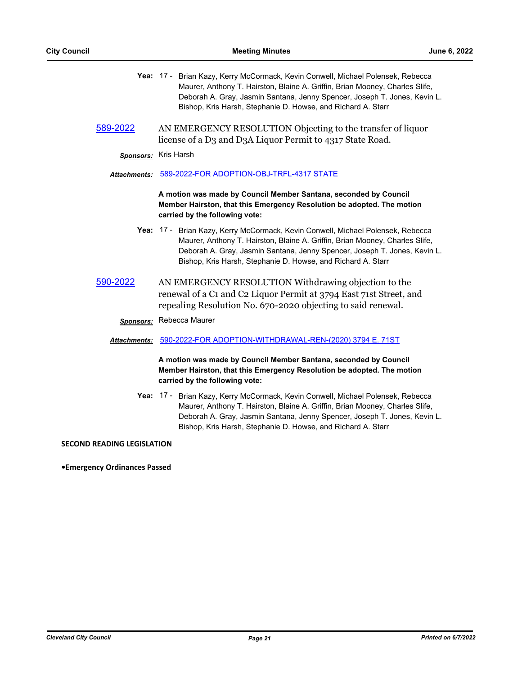- Yea: 17 Brian Kazy, Kerry McCormack, Kevin Conwell, Michael Polensek, Rebecca Maurer, Anthony T. Hairston, Blaine A. Griffin, Brian Mooney, Charles Slife, Deborah A. Gray, Jasmin Santana, Jenny Spencer, Joseph T. Jones, Kevin L. Bishop, Kris Harsh, Stephanie D. Howse, and Richard A. Starr
- [589-2022](http://cityofcleveland.legistar.com/gateway.aspx?m=l&id=/matter.aspx?key=30490) AN EMERGENCY RESOLUTION Objecting to the transfer of liquor license of a D3 and D3A Liquor Permit to 4317 State Road.

*Sponsors:* Kris Harsh

#### *Attachments:* [589-2022-FOR ADOPTION-OBJ-TRFL-4317 STATE](http://cityofcleveland.legistar.com/gateway.aspx?M=F&ID=72694671-f58f-4c1d-8a46-3c3f04cbf3df.docx)

**A motion was made by Council Member Santana, seconded by Council Member Hairston, that this Emergency Resolution be adopted. The motion carried by the following vote:**

- Yea: 17 Brian Kazy, Kerry McCormack, Kevin Conwell, Michael Polensek, Rebecca Maurer, Anthony T. Hairston, Blaine A. Griffin, Brian Mooney, Charles Slife, Deborah A. Gray, Jasmin Santana, Jenny Spencer, Joseph T. Jones, Kevin L. Bishop, Kris Harsh, Stephanie D. Howse, and Richard A. Starr
- [590-2022](http://cityofcleveland.legistar.com/gateway.aspx?m=l&id=/matter.aspx?key=30491) AN EMERGENCY RESOLUTION Withdrawing objection to the renewal of a C1 and C2 Liquor Permit at 3794 East 71st Street, and repealing Resolution No. 670-2020 objecting to said renewal.

*Sponsors:* Rebecca Maurer

### *Attachments:* [590-2022-FOR ADOPTION-WITHDRAWAL-REN-\(2020\) 3794 E. 71ST](http://cityofcleveland.legistar.com/gateway.aspx?M=F&ID=78e367ee-a0bf-4f06-ae1d-94c69a592255.docx)

**A motion was made by Council Member Santana, seconded by Council Member Hairston, that this Emergency Resolution be adopted. The motion carried by the following vote:**

Yea: 17 - Brian Kazy, Kerry McCormack, Kevin Conwell, Michael Polensek, Rebecca Maurer, Anthony T. Hairston, Blaine A. Griffin, Brian Mooney, Charles Slife, Deborah A. Gray, Jasmin Santana, Jenny Spencer, Joseph T. Jones, Kevin L. Bishop, Kris Harsh, Stephanie D. Howse, and Richard A. Starr

#### **SECOND READING LEGISLATION**

**•Emergency Ordinances Passed**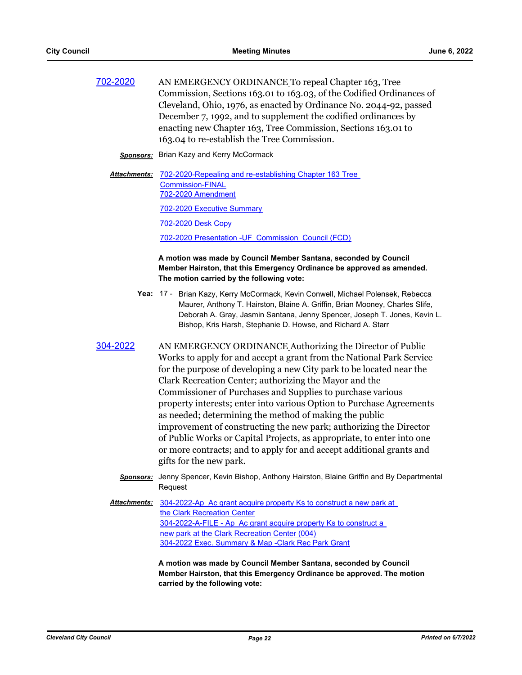[702-2020](http://cityofcleveland.legistar.com/gateway.aspx?m=l&id=/matter.aspx?key=26980) AN EMERGENCY ORDINANCE To repeal Chapter 163, Tree Commission, Sections 163.01 to 163.03, of the Codified Ordinances of Cleveland, Ohio, 1976, as enacted by Ordinance No. 2044-92, passed December 7, 1992, and to supplement the codified ordinances by enacting new Chapter 163, Tree Commission, Sections 163.01 to 163.04 to re-establish the Tree Commission.

**Sponsors:** Brian Kazy and Kerry McCormack

Attachments: 702-2020-Repealing and re-establishing Chapter 163 Tree Commission-FINAL [702-2020 Amendment](http://cityofcleveland.legistar.com/gateway.aspx?M=F&ID=ccfa6b52-c442-4e9f-ae86-2c951a4e1e73.pdf)

[702-2020 Executive Summary](http://cityofcleveland.legistar.com/gateway.aspx?M=F&ID=7740b259-2812-499f-a6bb-d34850c9de13.pdf)

[702-2020 Desk Copy](http://cityofcleveland.legistar.com/gateway.aspx?M=F&ID=18c2df6f-021a-45d3-9f42-775bf2c75f9a.pdf)

[702-2020 Presentation -UF\\_Commission\\_Council \(FCD\)](http://cityofcleveland.legistar.com/gateway.aspx?M=F&ID=46c102d4-3484-4563-8366-8356ff7f293c.pdf)

# **A motion was made by Council Member Santana, seconded by Council Member Hairston, that this Emergency Ordinance be approved as amended. The motion carried by the following vote:**

- Yea: 17 Brian Kazy, Kerry McCormack, Kevin Conwell, Michael Polensek, Rebecca Maurer, Anthony T. Hairston, Blaine A. Griffin, Brian Mooney, Charles Slife, Deborah A. Gray, Jasmin Santana, Jenny Spencer, Joseph T. Jones, Kevin L. Bishop, Kris Harsh, Stephanie D. Howse, and Richard A. Starr
- [304-2022](http://cityofcleveland.legistar.com/gateway.aspx?m=l&id=/matter.aspx?key=30157) AN EMERGENCY ORDINANCE Authorizing the Director of Public Works to apply for and accept a grant from the National Park Service for the purpose of developing a new City park to be located near the Clark Recreation Center; authorizing the Mayor and the Commissioner of Purchases and Supplies to purchase various property interests; enter into various Option to Purchase Agreements as needed; determining the method of making the public improvement of constructing the new park; authorizing the Director of Public Works or Capital Projects, as appropriate, to enter into one or more contracts; and to apply for and accept additional grants and gifts for the new park.
	- *Sponsors:* Jenny Spencer, Kevin Bishop, Anthony Hairston, Blaine Griffin and By Departmental Request

[304-2022-Ap Ac grant acquire property Ks to construct a new park at](http://cityofcleveland.legistar.com/gateway.aspx?M=F&ID=b971ee2c-bf97-473b-bed6-1a99136fb77e.doc)  the Clark Recreation Center [304-2022-A-FILE - Ap Ac grant acquire property Ks to construct a](http://cityofcleveland.legistar.com/gateway.aspx?M=F&ID=67c7c1f6-8787-4e8a-9050-9cc1b2b16429.pdf)  new park at the Clark Recreation Center (004) [304-2022 Exec. Summary & Map -Clark Rec Park Grant](http://cityofcleveland.legistar.com/gateway.aspx?M=F&ID=dffdf0d6-9b51-4b80-9fd5-f145e53c7045.pdf) *Attachments:*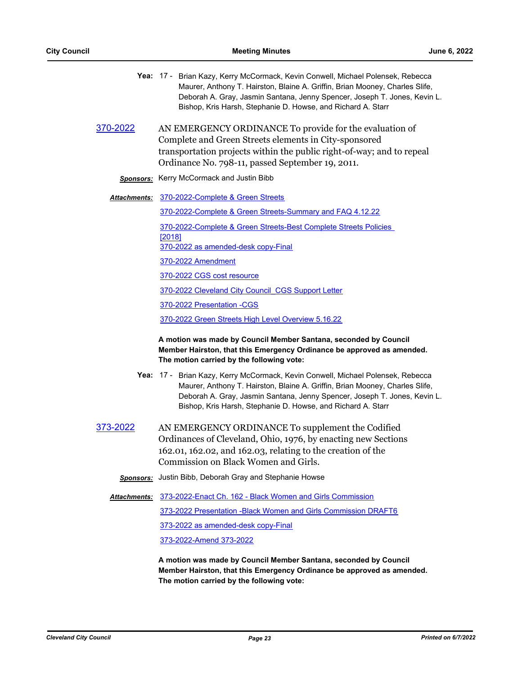|                      | Yea: 17 - Brian Kazy, Kerry McCormack, Kevin Conwell, Michael Polensek, Rebecca<br>Maurer, Anthony T. Hairston, Blaine A. Griffin, Brian Mooney, Charles Slife,<br>Deborah A. Gray, Jasmin Santana, Jenny Spencer, Joseph T. Jones, Kevin L.<br>Bishop, Kris Harsh, Stephanie D. Howse, and Richard A. Starr |
|----------------------|--------------------------------------------------------------------------------------------------------------------------------------------------------------------------------------------------------------------------------------------------------------------------------------------------------------|
| 370-2022             | AN EMERGENCY ORDINANCE To provide for the evaluation of<br>Complete and Green Streets elements in City-sponsored<br>transportation projects within the public right-of-way; and to repeal<br>Ordinance No. 798-11, passed September 19, 2011.                                                                |
|                      | <b>Sponsors:</b> Kerry McCormack and Justin Bibb                                                                                                                                                                                                                                                             |
| <u> Attachments:</u> | 370-2022-Complete & Green Streets                                                                                                                                                                                                                                                                            |
|                      | 370-2022-Complete & Green Streets-Summary and FAQ 4.12.22                                                                                                                                                                                                                                                    |
|                      | 370-2022-Complete & Green Streets-Best Complete Streets Policies                                                                                                                                                                                                                                             |
|                      | [2018]<br>370-2022 as amended-desk copy-Final                                                                                                                                                                                                                                                                |
|                      | 370-2022 Amendment                                                                                                                                                                                                                                                                                           |
|                      | 370-2022 CGS cost resource                                                                                                                                                                                                                                                                                   |
|                      | 370-2022 Cleveland City Council CGS Support Letter                                                                                                                                                                                                                                                           |
|                      | 370-2022 Presentation -CGS                                                                                                                                                                                                                                                                                   |
|                      | 370-2022 Green Streets High Level Overview 5.16.22                                                                                                                                                                                                                                                           |
|                      | A motion was made by Council Member Santana, seconded by Council<br>Member Hairston, that this Emergency Ordinance be approved as amended.<br>The motion carried by the following vote:                                                                                                                      |
|                      | Yea: 17 - Brian Kazy, Kerry McCormack, Kevin Conwell, Michael Polensek, Rebecca<br>Maurer, Anthony T. Hairston, Blaine A. Griffin, Brian Mooney, Charles Slife,<br>Deborah A. Gray, Jasmin Santana, Jenny Spencer, Joseph T. Jones, Kevin L.<br>Bishop, Kris Harsh, Stephanie D. Howse, and Richard A. Starr |
| <u>373-2022</u>      | AN EMERGENCY ORDINANCE To supplement the Codified<br>Ordinances of Cleveland, Ohio, 1976, by enacting new Sections<br>162.01, 162.02, and 162.03, relating to the creation of the<br>Commission on Black Women and Girls.                                                                                    |
| <b>Sponsors:</b>     | Justin Bibb, Deborah Gray and Stephanie Howse                                                                                                                                                                                                                                                                |
| <b>Attachments:</b>  | 373-2022-Enact Ch. 162 - Black Women and Girls Commission                                                                                                                                                                                                                                                    |
|                      | 373-2022 Presentation - Black Women and Girls Commission DRAFT6                                                                                                                                                                                                                                              |
|                      | 373-2022 as amended-desk copy-Final                                                                                                                                                                                                                                                                          |
|                      | 373-2022-Amend 373-2022                                                                                                                                                                                                                                                                                      |
|                      | A motion was made by Council Member Santana, seconded by Council<br>Member Hairston, that this Emergency Ordinance be approved as amended.                                                                                                                                                                   |

**The motion carried by the following vote:**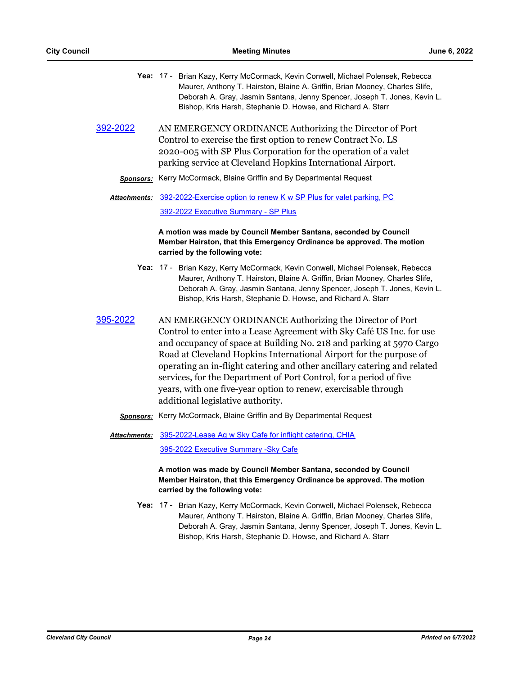|                      | Yea: 17 - Brian Kazy, Kerry McCormack, Kevin Conwell, Michael Polensek, Rebecca<br>Maurer, Anthony T. Hairston, Blaine A. Griffin, Brian Mooney, Charles Slife,<br>Deborah A. Gray, Jasmin Santana, Jenny Spencer, Joseph T. Jones, Kevin L.<br>Bishop, Kris Harsh, Stephanie D. Howse, and Richard A. Starr                                                                                                                                                                                                                            |
|----------------------|-----------------------------------------------------------------------------------------------------------------------------------------------------------------------------------------------------------------------------------------------------------------------------------------------------------------------------------------------------------------------------------------------------------------------------------------------------------------------------------------------------------------------------------------|
| 392-2022             | AN EMERGENCY ORDINANCE Authorizing the Director of Port<br>Control to exercise the first option to renew Contract No. LS<br>2020-005 with SP Plus Corporation for the operation of a valet<br>parking service at Cleveland Hopkins International Airport.                                                                                                                                                                                                                                                                               |
|                      | <b>Sponsors:</b> Kerry McCormack, Blaine Griffin and By Departmental Request                                                                                                                                                                                                                                                                                                                                                                                                                                                            |
| <u> Attachments:</u> | 392-2022-Exercise option to renew K w SP Plus for valet parking, PC                                                                                                                                                                                                                                                                                                                                                                                                                                                                     |
|                      | 392-2022 Executive Summary - SP Plus                                                                                                                                                                                                                                                                                                                                                                                                                                                                                                    |
|                      | A motion was made by Council Member Santana, seconded by Council<br>Member Hairston, that this Emergency Ordinance be approved. The motion<br>carried by the following vote:                                                                                                                                                                                                                                                                                                                                                            |
|                      | Yea: 17 - Brian Kazy, Kerry McCormack, Kevin Conwell, Michael Polensek, Rebecca<br>Maurer, Anthony T. Hairston, Blaine A. Griffin, Brian Mooney, Charles Slife,<br>Deborah A. Gray, Jasmin Santana, Jenny Spencer, Joseph T. Jones, Kevin L.<br>Bishop, Kris Harsh, Stephanie D. Howse, and Richard A. Starr                                                                                                                                                                                                                            |
| <u>395-2022</u>      | AN EMERGENCY ORDINANCE Authorizing the Director of Port<br>Control to enter into a Lease Agreement with Sky Café US Inc. for use<br>and occupancy of space at Building No. 218 and parking at 5970 Cargo<br>Road at Cleveland Hopkins International Airport for the purpose of<br>operating an in-flight catering and other ancillary catering and related<br>services, for the Department of Port Control, for a period of five<br>years, with one five-year option to renew, exercisable through<br>additional legislative authority. |
| <b>Sponsors:</b>     | Kerry McCormack, Blaine Griffin and By Departmental Request                                                                                                                                                                                                                                                                                                                                                                                                                                                                             |
|                      | Attachments: 395-2022-Lease Ag w Sky Cafe for inflight catering, CHIA<br>395-2022 Executive Summary - Sky Cafe                                                                                                                                                                                                                                                                                                                                                                                                                          |
|                      | A motion was made by Council Member Santana, seconded by Council<br>Member Hairston, that this Emergency Ordinance be approved. The motion<br>carried by the following vote:                                                                                                                                                                                                                                                                                                                                                            |
|                      | Yea: 17 - Brian Kazy, Kerry McCormack, Kevin Conwell, Michael Polensek, Rebecca<br>Maurer, Anthony T. Hairston, Blaine A. Griffin, Brian Mooney, Charles Slife,                                                                                                                                                                                                                                                                                                                                                                         |

Deborah A. Gray, Jasmin Santana, Jenny Spencer, Joseph T. Jones, Kevin L. Bishop, Kris Harsh, Stephanie D. Howse, and Richard A. Starr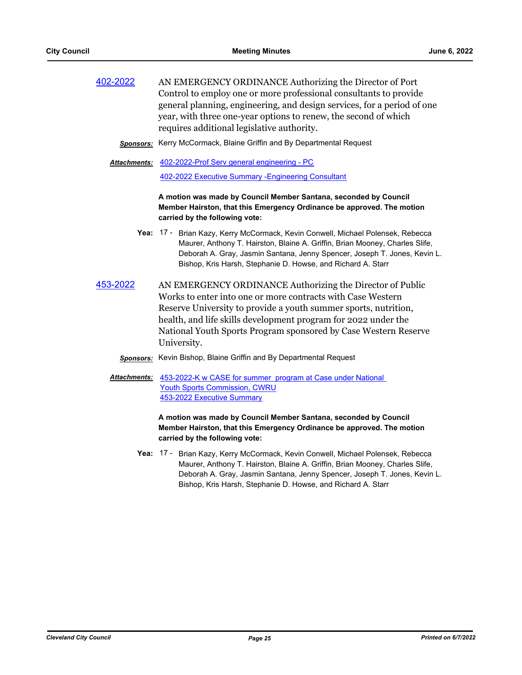| 402-2022 | AN EMERGENCY ORDINANCE Authorizing the Director of Port                 |
|----------|-------------------------------------------------------------------------|
|          | Control to employ one or more professional consultants to provide       |
|          | general planning, engineering, and design services, for a period of one |
|          | year, with three one-year options to renew, the second of which         |
|          | requires additional legislative authority.                              |

*Sponsors:* Kerry McCormack, Blaine Griffin and By Departmental Request

Attachments: [402-2022-Prof Serv general engineering - PC](http://cityofcleveland.legistar.com/gateway.aspx?M=F&ID=8b2a08a3-6563-4e97-a774-1e07c372a843.doc) [402-2022 Executive Summary -Engineering Consultant](http://cityofcleveland.legistar.com/gateway.aspx?M=F&ID=cda84077-5770-439e-91e8-212bc58873fe.pdf)

> **A motion was made by Council Member Santana, seconded by Council Member Hairston, that this Emergency Ordinance be approved. The motion carried by the following vote:**

- Yea: 17 Brian Kazy, Kerry McCormack, Kevin Conwell, Michael Polensek, Rebecca Maurer, Anthony T. Hairston, Blaine A. Griffin, Brian Mooney, Charles Slife, Deborah A. Gray, Jasmin Santana, Jenny Spencer, Joseph T. Jones, Kevin L. Bishop, Kris Harsh, Stephanie D. Howse, and Richard A. Starr
- [453-2022](http://cityofcleveland.legistar.com/gateway.aspx?m=l&id=/matter.aspx?key=30331) AN EMERGENCY ORDINANCE Authorizing the Director of Public Works to enter into one or more contracts with Case Western Reserve University to provide a youth summer sports, nutrition, health, and life skills development program for 2022 under the National Youth Sports Program sponsored by Case Western Reserve University.

# *Sponsors:* Kevin Bishop, Blaine Griffin and By Departmental Request

Attachments: 453-2022-K w CASE for summer program at Case under National Youth Sports Commission, CWRU [453-2022 Executive Summary](http://cityofcleveland.legistar.com/gateway.aspx?M=F&ID=0b7e8ec0-7a15-4dd6-8f7f-2701e6ff666f.pdf)

> **A motion was made by Council Member Santana, seconded by Council Member Hairston, that this Emergency Ordinance be approved. The motion carried by the following vote:**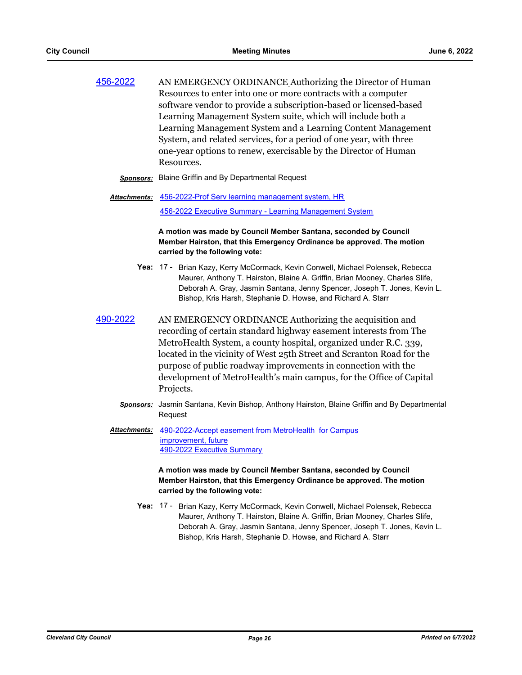| 456-2022 | AN EMERGENCY ORDINANCE Authorizing the Director of Human           |
|----------|--------------------------------------------------------------------|
|          | Resources to enter into one or more contracts with a computer      |
|          | software vendor to provide a subscription-based or licensed-based  |
|          | Learning Management System suite, which will include both a        |
|          | Learning Management System and a Learning Content Management       |
|          | System, and related services, for a period of one year, with three |
|          | one-year options to renew, exercisable by the Director of Human    |
|          | Resources.                                                         |
|          |                                                                    |

- *Sponsors:* Blaine Griffin and By Departmental Request
- Attachments: [456-2022-Prof Serv learning management system, HR](http://cityofcleveland.legistar.com/gateway.aspx?M=F&ID=59668957-0456-4f9e-8c1b-564cdcc61bfe.doc) [456-2022 Executive Summary - Learning Management System](http://cityofcleveland.legistar.com/gateway.aspx?M=F&ID=22bb71a5-d5c7-418e-9a87-4c1b39d3ed7a.pdf)

**A motion was made by Council Member Santana, seconded by Council Member Hairston, that this Emergency Ordinance be approved. The motion carried by the following vote:**

- Yea: 17 Brian Kazy, Kerry McCormack, Kevin Conwell, Michael Polensek, Rebecca Maurer, Anthony T. Hairston, Blaine A. Griffin, Brian Mooney, Charles Slife, Deborah A. Gray, Jasmin Santana, Jenny Spencer, Joseph T. Jones, Kevin L. Bishop, Kris Harsh, Stephanie D. Howse, and Richard A. Starr
- [490-2022](http://cityofcleveland.legistar.com/gateway.aspx?m=l&id=/matter.aspx?key=30372) AN EMERGENCY ORDINANCE Authorizing the acquisition and recording of certain standard highway easement interests from The MetroHealth System, a county hospital, organized under R.C. 339, located in the vicinity of West 25th Street and Scranton Road for the purpose of public roadway improvements in connection with the development of MetroHealth's main campus, for the Office of Capital Projects.
	- *Sponsors:* Jasmin Santana, Kevin Bishop, Anthony Hairston, Blaine Griffin and By Departmental Request
	- [490-2022-Accept easement from MetroHealth for Campus](http://cityofcleveland.legistar.com/gateway.aspx?M=F&ID=3267c7ae-8291-4830-95cc-f4b936c6742d.doc)  improvement, future [490-2022 Executive Summary](http://cityofcleveland.legistar.com/gateway.aspx?M=F&ID=530b36c0-b44b-49fe-b10d-008fbab86faf.pdf) *Attachments:*

**A motion was made by Council Member Santana, seconded by Council Member Hairston, that this Emergency Ordinance be approved. The motion carried by the following vote:**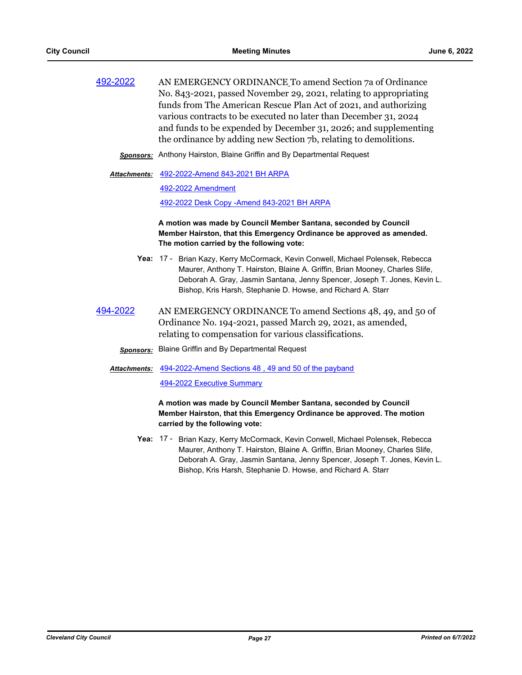[492-2022](http://cityofcleveland.legistar.com/gateway.aspx?m=l&id=/matter.aspx?key=30374) AN EMERGENCY ORDINANCE To amend Section 7a of Ordinance No. 843-2021, passed November 29, 2021, relating to appropriating funds from The American Rescue Plan Act of 2021, and authorizing various contracts to be executed no later than December 31, 2024 and funds to be expended by December 31, 2026; and supplementing the ordinance by adding new Section 7b, relating to demolitions.

*Sponsors:* Anthony Hairston, Blaine Griffin and By Departmental Request

#### [492-2022-Amend 843-2021 BH ARPA](http://cityofcleveland.legistar.com/gateway.aspx?M=F&ID=51b1d5c1-65e8-4e82-91e6-149e40c39037.doc) *Attachments:*

[492-2022 Amendment](http://cityofcleveland.legistar.com/gateway.aspx?M=F&ID=6626a26a-e478-4905-8874-399f50c74f1e.pdf)

[492-2022 Desk Copy -Amend 843-2021 BH ARPA](http://cityofcleveland.legistar.com/gateway.aspx?M=F&ID=6d470793-946d-45a3-8162-8e336015cb85.pdf)

**A motion was made by Council Member Santana, seconded by Council Member Hairston, that this Emergency Ordinance be approved as amended. The motion carried by the following vote:**

- Yea: 17 Brian Kazy, Kerry McCormack, Kevin Conwell, Michael Polensek, Rebecca Maurer, Anthony T. Hairston, Blaine A. Griffin, Brian Mooney, Charles Slife, Deborah A. Gray, Jasmin Santana, Jenny Spencer, Joseph T. Jones, Kevin L. Bishop, Kris Harsh, Stephanie D. Howse, and Richard A. Starr
- [494-2022](http://cityofcleveland.legistar.com/gateway.aspx?m=l&id=/matter.aspx?key=30376) AN EMERGENCY ORDINANCE To amend Sections 48, 49, and 50 of Ordinance No. 194-2021, passed March 29, 2021, as amended, relating to compensation for various classifications.
	- *Sponsors:* Blaine Griffin and By Departmental Request
	- Attachments: 494-2022-Amend Sections 48, 49 and 50 of the payband [494-2022 Executive Summary](http://cityofcleveland.legistar.com/gateway.aspx?M=F&ID=cc291707-427a-4be2-94b4-ec98fa432678.pdf)

**A motion was made by Council Member Santana, seconded by Council Member Hairston, that this Emergency Ordinance be approved. The motion carried by the following vote:**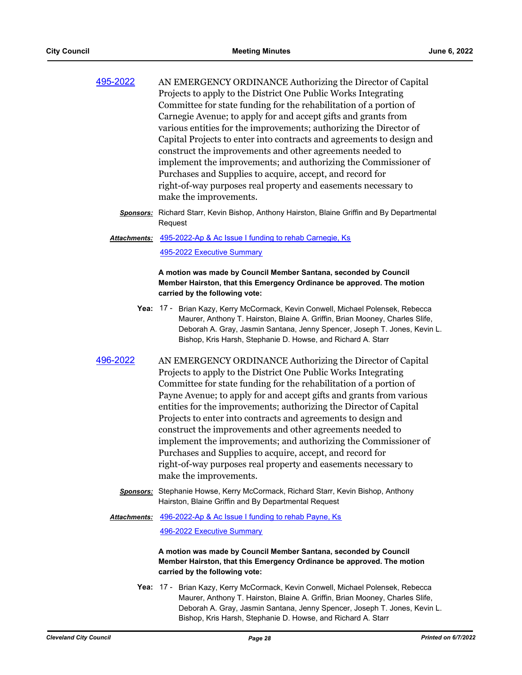| 495-2022 | AN EMERGENCY ORDINANCE Authorizing the Director of Capital            |
|----------|-----------------------------------------------------------------------|
|          | Projects to apply to the District One Public Works Integrating        |
|          | Committee for state funding for the rehabilitation of a portion of    |
|          | Carnegie Avenue; to apply for and accept gifts and grants from        |
|          | various entities for the improvements; authorizing the Director of    |
|          | Capital Projects to enter into contracts and agreements to design and |
|          | construct the improvements and other agreements needed to             |
|          | implement the improvements; and authorizing the Commissioner of       |
|          | Purchases and Supplies to acquire, accept, and record for             |
|          | right-of-way purposes real property and easements necessary to        |
|          | make the improvements.                                                |

*Sponsors:* Richard Starr, Kevin Bishop, Anthony Hairston, Blaine Griffin and By Departmental **Request** 

[495-2022-Ap & Ac Issue I funding to rehab Carnegie, Ks](http://cityofcleveland.legistar.com/gateway.aspx?M=F&ID=01f36efd-6251-420a-98ea-e54e771c6415.doc) [495-2022 Executive Summary](http://cityofcleveland.legistar.com/gateway.aspx?M=F&ID=ab0939ae-52bb-45e0-8f03-c15079a12ce4.pdf) *Attachments:*

> **A motion was made by Council Member Santana, seconded by Council Member Hairston, that this Emergency Ordinance be approved. The motion carried by the following vote:**

- Yea: 17 Brian Kazy, Kerry McCormack, Kevin Conwell, Michael Polensek, Rebecca Maurer, Anthony T. Hairston, Blaine A. Griffin, Brian Mooney, Charles Slife, Deborah A. Gray, Jasmin Santana, Jenny Spencer, Joseph T. Jones, Kevin L. Bishop, Kris Harsh, Stephanie D. Howse, and Richard A. Starr
- [496-2022](http://cityofcleveland.legistar.com/gateway.aspx?m=l&id=/matter.aspx?key=30378) AN EMERGENCY ORDINANCE Authorizing the Director of Capital Projects to apply to the District One Public Works Integrating Committee for state funding for the rehabilitation of a portion of Payne Avenue; to apply for and accept gifts and grants from various entities for the improvements; authorizing the Director of Capital Projects to enter into contracts and agreements to design and construct the improvements and other agreements needed to implement the improvements; and authorizing the Commissioner of Purchases and Supplies to acquire, accept, and record for right-of-way purposes real property and easements necessary to make the improvements.
	- *Sponsors:* Stephanie Howse, Kerry McCormack, Richard Starr, Kevin Bishop, Anthony Hairston, Blaine Griffin and By Departmental Request
	- [496-2022-Ap & Ac Issue I funding to rehab Payne, Ks](http://cityofcleveland.legistar.com/gateway.aspx?M=F&ID=70e679be-6e80-4fa8-bde9-b803e32ede60.doc) *Attachments:*

[496-2022 Executive Summary](http://cityofcleveland.legistar.com/gateway.aspx?M=F&ID=fa6f6ba4-e324-46ea-9baf-ed954ea5f17c.pdf)

**A motion was made by Council Member Santana, seconded by Council Member Hairston, that this Emergency Ordinance be approved. The motion carried by the following vote:**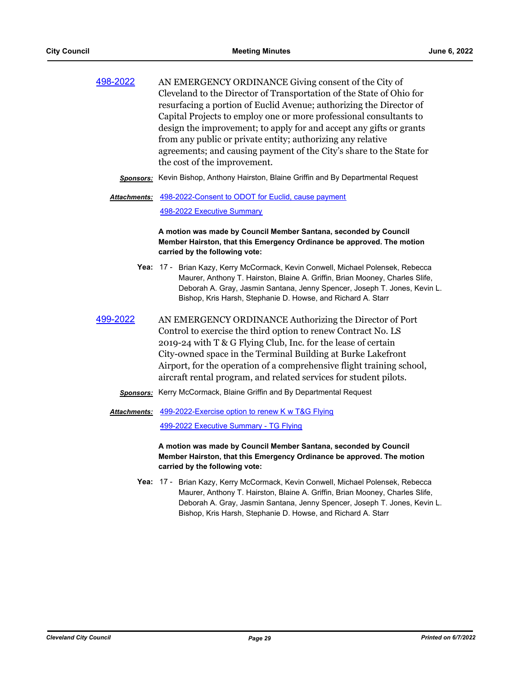| 498-2022 | AN EMERGENCY ORDINANCE Giving consent of the City of                 |
|----------|----------------------------------------------------------------------|
|          | Cleveland to the Director of Transportation of the State of Ohio for |
|          | resurfacing a portion of Euclid Avenue; authorizing the Director of  |
|          | Capital Projects to employ one or more professional consultants to   |
|          | design the improvement; to apply for and accept any gifts or grants  |
|          | from any public or private entity; authorizing any relative          |
|          | agreements; and causing payment of the City's share to the State for |
|          | the cost of the improvement.                                         |

- *Sponsors:* Kevin Bishop, Anthony Hairston, Blaine Griffin and By Departmental Request
- [498-2022-Consent to ODOT for Euclid, cause payment](http://cityofcleveland.legistar.com/gateway.aspx?M=F&ID=e1f1353d-0f63-4bbb-a6b9-8c8807b99a65.doc) *Attachments:*

[498-2022 Executive Summary](http://cityofcleveland.legistar.com/gateway.aspx?M=F&ID=ef3b0a7a-7fd7-4d78-b4d6-f78c607436a0.pdf)

**A motion was made by Council Member Santana, seconded by Council Member Hairston, that this Emergency Ordinance be approved. The motion carried by the following vote:**

- Yea: 17 Brian Kazy, Kerry McCormack, Kevin Conwell, Michael Polensek, Rebecca Maurer, Anthony T. Hairston, Blaine A. Griffin, Brian Mooney, Charles Slife, Deborah A. Gray, Jasmin Santana, Jenny Spencer, Joseph T. Jones, Kevin L. Bishop, Kris Harsh, Stephanie D. Howse, and Richard A. Starr
- [499-2022](http://cityofcleveland.legistar.com/gateway.aspx?m=l&id=/matter.aspx?key=30381) AN EMERGENCY ORDINANCE Authorizing the Director of Port Control to exercise the third option to renew Contract No. LS 2019-24 with T & G Flying Club, Inc. for the lease of certain City-owned space in the Terminal Building at Burke Lakefront Airport, for the operation of a comprehensive flight training school, aircraft rental program, and related services for student pilots.
	- *Sponsors:* Kerry McCormack, Blaine Griffin and By Departmental Request

Attachments: [499-2022-Exercise option to renew K w T&G Flying](http://cityofcleveland.legistar.com/gateway.aspx?M=F&ID=8d295f2f-74ac-49af-b781-0efc8015c3d7.doc) [499-2022 Executive Summary - TG Flying](http://cityofcleveland.legistar.com/gateway.aspx?M=F&ID=69065f81-d61a-4ec7-a221-70f469d5ebd2.pdf)

> **A motion was made by Council Member Santana, seconded by Council Member Hairston, that this Emergency Ordinance be approved. The motion carried by the following vote:**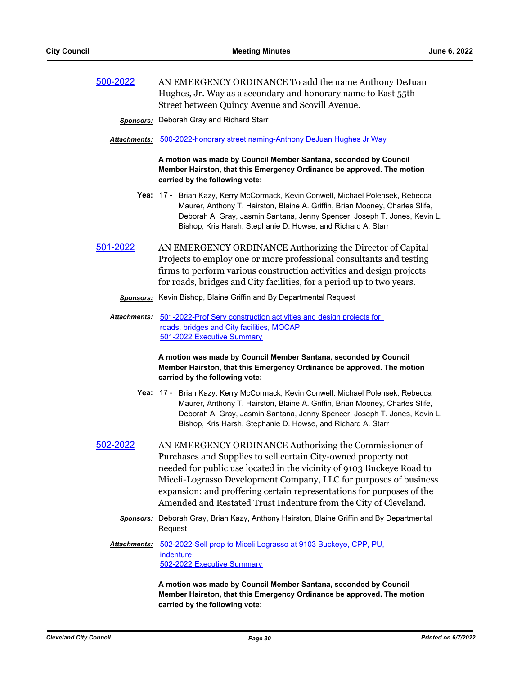[500-2022](http://cityofcleveland.legistar.com/gateway.aspx?m=l&id=/matter.aspx?key=30382) AN EMERGENCY ORDINANCE To add the name Anthony DeJuan Hughes, Jr. Way as a secondary and honorary name to East 55th Street between Quincy Avenue and Scovill Avenue.

*Sponsors:* Deborah Gray and Richard Starr

*Attachments:* [500-2022-honorary street naming-Anthony DeJuan Hughes Jr Way](http://cityofcleveland.legistar.com/gateway.aspx?M=F&ID=ec994bc6-b33c-4669-941f-85739d85e74c.docx)

**A motion was made by Council Member Santana, seconded by Council Member Hairston, that this Emergency Ordinance be approved. The motion carried by the following vote:**

- Yea: 17 Brian Kazy, Kerry McCormack, Kevin Conwell, Michael Polensek, Rebecca Maurer, Anthony T. Hairston, Blaine A. Griffin, Brian Mooney, Charles Slife, Deborah A. Gray, Jasmin Santana, Jenny Spencer, Joseph T. Jones, Kevin L. Bishop, Kris Harsh, Stephanie D. Howse, and Richard A. Starr
- [501-2022](http://cityofcleveland.legistar.com/gateway.aspx?m=l&id=/matter.aspx?key=30383) AN EMERGENCY ORDINANCE Authorizing the Director of Capital Projects to employ one or more professional consultants and testing firms to perform various construction activities and design projects for roads, bridges and City facilities, for a period up to two years.
	- *Sponsors:* Kevin Bishop, Blaine Griffin and By Departmental Request
	- Attachments: 501-2022-Prof Serv construction activities and design projects for roads, bridges and City facilities, MOCAP [501-2022 Executive Summary](http://cityofcleveland.legistar.com/gateway.aspx?M=F&ID=c17bcfde-db35-44e7-ac1b-20283f5dbba4.pdf)

**A motion was made by Council Member Santana, seconded by Council Member Hairston, that this Emergency Ordinance be approved. The motion carried by the following vote:**

- Yea: 17 Brian Kazy, Kerry McCormack, Kevin Conwell, Michael Polensek, Rebecca Maurer, Anthony T. Hairston, Blaine A. Griffin, Brian Mooney, Charles Slife, Deborah A. Gray, Jasmin Santana, Jenny Spencer, Joseph T. Jones, Kevin L. Bishop, Kris Harsh, Stephanie D. Howse, and Richard A. Starr
- [502-2022](http://cityofcleveland.legistar.com/gateway.aspx?m=l&id=/matter.aspx?key=30384) AN EMERGENCY ORDINANCE Authorizing the Commissioner of Purchases and Supplies to sell certain City-owned property not needed for public use located in the vicinity of 9103 Buckeye Road to Miceli-Lograsso Development Company, LLC for purposes of business expansion; and proffering certain representations for purposes of the Amended and Restated Trust Indenture from the City of Cleveland.
	- *Sponsors:* Deborah Gray, Brian Kazy, Anthony Hairston, Blaine Griffin and By Departmental Request
	- [502-2022-Sell prop to Miceli Lograsso at 9103 Buckeye, CPP, PU,](http://cityofcleveland.legistar.com/gateway.aspx?M=F&ID=2eb3da00-ece6-4eb9-ba98-8dcbb11e1eeb.doc)  indenture [502-2022 Executive Summary](http://cityofcleveland.legistar.com/gateway.aspx?M=F&ID=54c5eb83-4aa1-4571-8060-64b99b9a1f35.pdf) *Attachments:*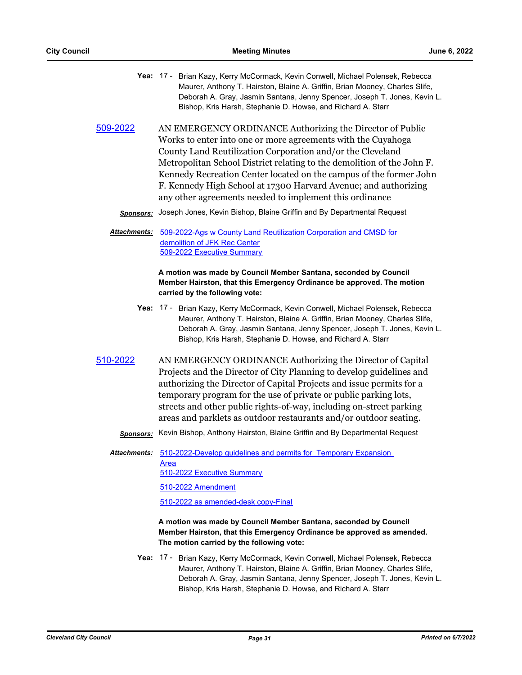- Yea: 17 Brian Kazy, Kerry McCormack, Kevin Conwell, Michael Polensek, Rebecca Maurer, Anthony T. Hairston, Blaine A. Griffin, Brian Mooney, Charles Slife, Deborah A. Gray, Jasmin Santana, Jenny Spencer, Joseph T. Jones, Kevin L. Bishop, Kris Harsh, Stephanie D. Howse, and Richard A. Starr
- [509-2022](http://cityofcleveland.legistar.com/gateway.aspx?m=l&id=/matter.aspx?key=30391) AN EMERGENCY ORDINANCE Authorizing the Director of Public Works to enter into one or more agreements with the Cuyahoga County Land Reutilization Corporation and/or the Cleveland Metropolitan School District relating to the demolition of the John F. Kennedy Recreation Center located on the campus of the former John F. Kennedy High School at 17300 Harvard Avenue; and authorizing any other agreements needed to implement this ordinance
	- *Sponsors:* Joseph Jones, Kevin Bishop, Blaine Griffin and By Departmental Request
	- [509-2022-Ags w County Land Reutilization Corporation and CMSD for](http://cityofcleveland.legistar.com/gateway.aspx?M=F&ID=2cc6211a-ef87-4b84-8eff-3e08aba5e265.doc)  demolition of JFK Rec Center [509-2022 Executive Summary](http://cityofcleveland.legistar.com/gateway.aspx?M=F&ID=a174904c-eb21-465a-b417-ccafff9f6a2e.pdf) *Attachments:*

**A motion was made by Council Member Santana, seconded by Council Member Hairston, that this Emergency Ordinance be approved. The motion carried by the following vote:**

- Yea: 17 Brian Kazy, Kerry McCormack, Kevin Conwell, Michael Polensek, Rebecca Maurer, Anthony T. Hairston, Blaine A. Griffin, Brian Mooney, Charles Slife, Deborah A. Gray, Jasmin Santana, Jenny Spencer, Joseph T. Jones, Kevin L. Bishop, Kris Harsh, Stephanie D. Howse, and Richard A. Starr
- [510-2022](http://cityofcleveland.legistar.com/gateway.aspx?m=l&id=/matter.aspx?key=30392) AN EMERGENCY ORDINANCE Authorizing the Director of Capital Projects and the Director of City Planning to develop guidelines and authorizing the Director of Capital Projects and issue permits for a temporary program for the use of private or public parking lots, streets and other public rights-of-way, including on-street parking areas and parklets as outdoor restaurants and/or outdoor seating.
	- *Sponsors:* Kevin Bishop, Anthony Hairston, Blaine Griffin and By Departmental Request

[510-2022-Develop guidelines and permits for Temporary Expansion](http://cityofcleveland.legistar.com/gateway.aspx?M=F&ID=6fa02c2a-aa74-43f4-a2a9-ef5739991812.docx)  Area [510-2022 Executive Summary](http://cityofcleveland.legistar.com/gateway.aspx?M=F&ID=1ad7262b-43a2-4f00-8c4a-afbea5fae1fe.pdf) *Attachments:*

[510-2022 Amendment](http://cityofcleveland.legistar.com/gateway.aspx?M=F&ID=35e91291-8d31-4e37-8c36-9119cd7ddc83.pdf)

[510-2022 as amended-desk copy-Final](http://cityofcleveland.legistar.com/gateway.aspx?M=F&ID=dc40a880-667b-4ddf-becf-966c801dbdd3.DOCX)

# **A motion was made by Council Member Santana, seconded by Council Member Hairston, that this Emergency Ordinance be approved as amended. The motion carried by the following vote:**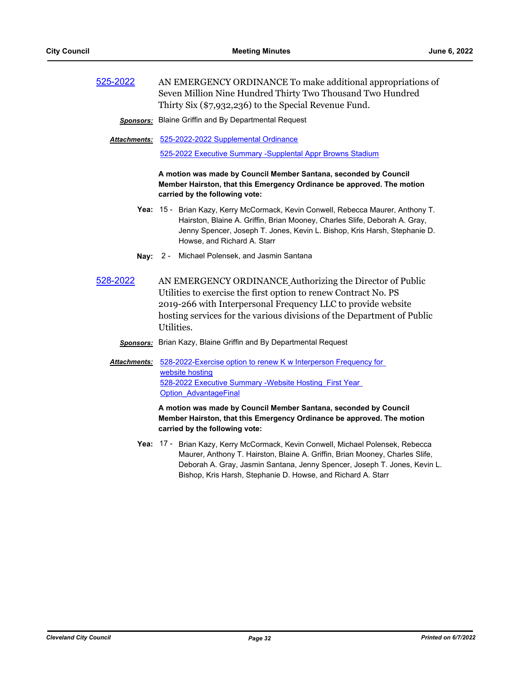| 525-2022 | AN EMERGENCY ORDINANCE To make additional appropriations of |
|----------|-------------------------------------------------------------|
|          | Seven Million Nine Hundred Thirty Two Thousand Two Hundred  |
|          | Thirty Six (\$7,932,236) to the Special Revenue Fund.       |

*Sponsors:* Blaine Griffin and By Departmental Request

[525-2022-2022 Supplemental Ordinance](http://cityofcleveland.legistar.com/gateway.aspx?M=F&ID=79954587-8ee5-4638-a4be-7113bf7926e2.docx) *Attachments:*

[525-2022 Executive Summary -Supplental Appr Browns Stadium](http://cityofcleveland.legistar.com/gateway.aspx?M=F&ID=3eed58b4-af42-4263-bd9d-35b64a436c85.pdf)

**A motion was made by Council Member Santana, seconded by Council Member Hairston, that this Emergency Ordinance be approved. The motion carried by the following vote:**

- Yea: 15 Brian Kazy, Kerry McCormack, Kevin Conwell, Rebecca Maurer, Anthony T. Hairston, Blaine A. Griffin, Brian Mooney, Charles Slife, Deborah A. Gray, Jenny Spencer, Joseph T. Jones, Kevin L. Bishop, Kris Harsh, Stephanie D. Howse, and Richard A. Starr
- **Nay:** 2 Michael Polensek, and Jasmin Santana
- [528-2022](http://cityofcleveland.legistar.com/gateway.aspx?m=l&id=/matter.aspx?key=30419) AN EMERGENCY ORDINANCE Authorizing the Director of Public Utilities to exercise the first option to renew Contract No. PS 2019-266 with Interpersonal Frequency LLC to provide website hosting services for the various divisions of the Department of Public Utilities.

# *Sponsors:* Brian Kazy, Blaine Griffin and By Departmental Request

Attachments: 528-2022-Exercise option to renew K w Interperson Frequency for website hosting [528-2022 Executive Summary -Website Hosting\\_First Year](http://cityofcleveland.legistar.com/gateway.aspx?M=F&ID=e173dd4c-6a5b-46d8-92e8-06b8bc1d372d.pdf)  Option\_AdvantageFinal

> **A motion was made by Council Member Santana, seconded by Council Member Hairston, that this Emergency Ordinance be approved. The motion carried by the following vote:**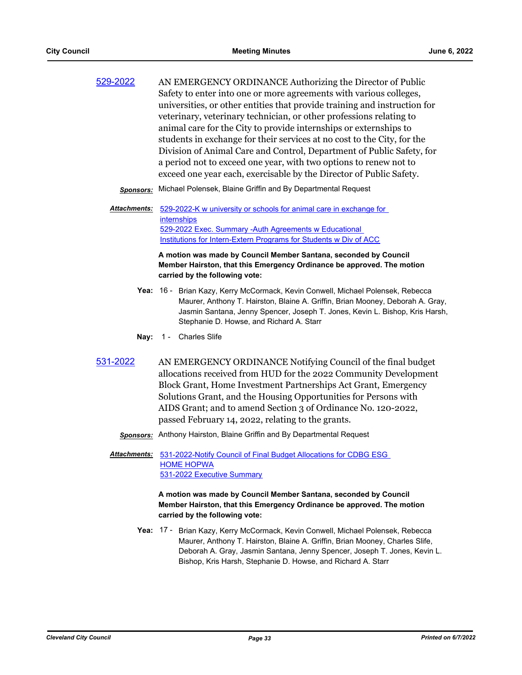| 529-2022 | AN EMERGENCY ORDINANCE Authorizing the Director of Public                 |
|----------|---------------------------------------------------------------------------|
|          | Safety to enter into one or more agreements with various colleges,        |
|          | universities, or other entities that provide training and instruction for |
|          | veterinary, veterinary technician, or other professions relating to       |
|          | animal care for the City to provide internships or externships to         |
|          | students in exchange for their services at no cost to the City, for the   |
|          | Division of Animal Care and Control, Department of Public Safety, for     |
|          | a period not to exceed one year, with two options to renew not to         |
|          | exceed one year each, exercisable by the Director of Public Safety.       |

- *Sponsors:* Michael Polensek, Blaine Griffin and By Departmental Request
- Attachments: 529-2022-K w university or schools for animal care in exchange for **internships** 529-2022 Exec. Summary -Auth Agreements w Educational [Institutions for Intern-Extern Programs for Students w Div of ACC](http://cityofcleveland.legistar.com/gateway.aspx?M=F&ID=6607a05d-20c0-400e-abdc-a95c9e33cb47.pdf)

**A motion was made by Council Member Santana, seconded by Council Member Hairston, that this Emergency Ordinance be approved. The motion carried by the following vote:**

- Yea: 16 Brian Kazy, Kerry McCormack, Kevin Conwell, Michael Polensek, Rebecca Maurer, Anthony T. Hairston, Blaine A. Griffin, Brian Mooney, Deborah A. Gray, Jasmin Santana, Jenny Spencer, Joseph T. Jones, Kevin L. Bishop, Kris Harsh, Stephanie D. Howse, and Richard A. Starr
- **Nay:** 1 Charles Slife
- [531-2022](http://cityofcleveland.legistar.com/gateway.aspx?m=l&id=/matter.aspx?key=30422) AN EMERGENCY ORDINANCE Notifying Council of the final budget allocations received from HUD for the 2022 Community Development Block Grant, Home Investment Partnerships Act Grant, Emergency Solutions Grant, and the Housing Opportunities for Persons with AIDS Grant; and to amend Section 3 of Ordinance No. 120-2022, passed February 14, 2022, relating to the grants.
	- *Sponsors:* Anthony Hairston, Blaine Griffin and By Departmental Request
	- Attachments: 531-2022-Notify Council of Final Budget Allocations for CDBG ESG HOME HOPWA [531-2022 Executive Summary](http://cityofcleveland.legistar.com/gateway.aspx?M=F&ID=2894ef50-fab8-4117-8ad9-6c017f65b995.pdf)

**A motion was made by Council Member Santana, seconded by Council Member Hairston, that this Emergency Ordinance be approved. The motion carried by the following vote:**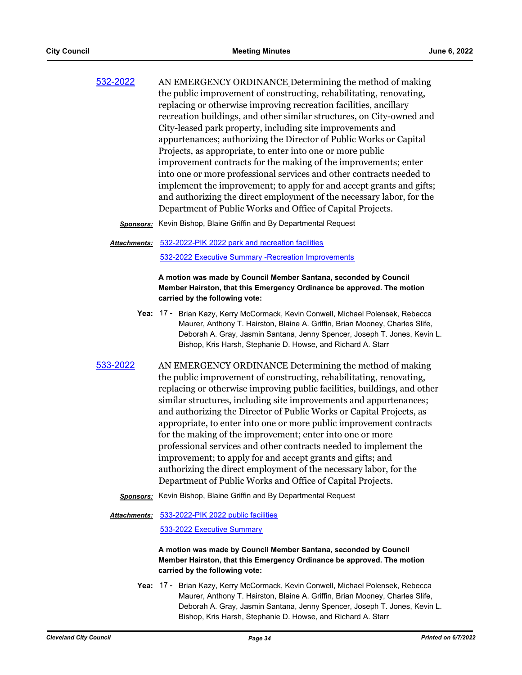| 532-2022 | AN EMERGENCY ORDINANCE Determining the method of making               |
|----------|-----------------------------------------------------------------------|
|          | the public improvement of constructing, rehabilitating, renovating,   |
|          | replacing or otherwise improving recreation facilities, ancillary     |
|          | recreation buildings, and other similar structures, on City-owned and |
|          | City-leased park property, including site improvements and            |
|          | appurtenances; authorizing the Director of Public Works or Capital    |
|          | Projects, as appropriate, to enter into one or more public            |
|          | improvement contracts for the making of the improvements; enter       |
|          | into one or more professional services and other contracts needed to  |
|          | implement the improvement; to apply for and accept grants and gifts;  |
|          | and authorizing the direct employment of the necessary labor, for the |
|          | Department of Public Works and Office of Capital Projects.            |

*Sponsors:* Kevin Bishop, Blaine Griffin and By Departmental Request

#### [532-2022-PIK 2022 park and recreation facilities](http://cityofcleveland.legistar.com/gateway.aspx?M=F&ID=1507ea93-5c2d-4437-9347-a103f97def3f.doc) [532-2022 Executive Summary -Recreation Improvements](http://cityofcleveland.legistar.com/gateway.aspx?M=F&ID=239db058-8588-4e9e-95e8-36d40dc7bfd0.pdf) *Attachments:*

# **A motion was made by Council Member Santana, seconded by Council Member Hairston, that this Emergency Ordinance be approved. The motion carried by the following vote:**

- Yea: 17 Brian Kazy, Kerry McCormack, Kevin Conwell, Michael Polensek, Rebecca Maurer, Anthony T. Hairston, Blaine A. Griffin, Brian Mooney, Charles Slife, Deborah A. Gray, Jasmin Santana, Jenny Spencer, Joseph T. Jones, Kevin L. Bishop, Kris Harsh, Stephanie D. Howse, and Richard A. Starr
- [533-2022](http://cityofcleveland.legistar.com/gateway.aspx?m=l&id=/matter.aspx?key=30424) AN EMERGENCY ORDINANCE Determining the method of making the public improvement of constructing, rehabilitating, renovating, replacing or otherwise improving public facilities, buildings, and other similar structures, including site improvements and appurtenances; and authorizing the Director of Public Works or Capital Projects, as appropriate, to enter into one or more public improvement contracts for the making of the improvement; enter into one or more professional services and other contracts needed to implement the improvement; to apply for and accept grants and gifts; and authorizing the direct employment of the necessary labor, for the Department of Public Works and Office of Capital Projects.
	- *Sponsors:* Kevin Bishop, Blaine Griffin and By Departmental Request

#### [533-2022-PIK 2022 public facilities](http://cityofcleveland.legistar.com/gateway.aspx?M=F&ID=8cdaf63d-4a59-4dee-a8d7-0f5f1060be51.DOC) *Attachments:*

# [533-2022 Executive Summary](http://cityofcleveland.legistar.com/gateway.aspx?M=F&ID=97999d56-b44d-4bd8-a0e6-a7da6f30bb40.pdf)

# **A motion was made by Council Member Santana, seconded by Council Member Hairston, that this Emergency Ordinance be approved. The motion carried by the following vote:**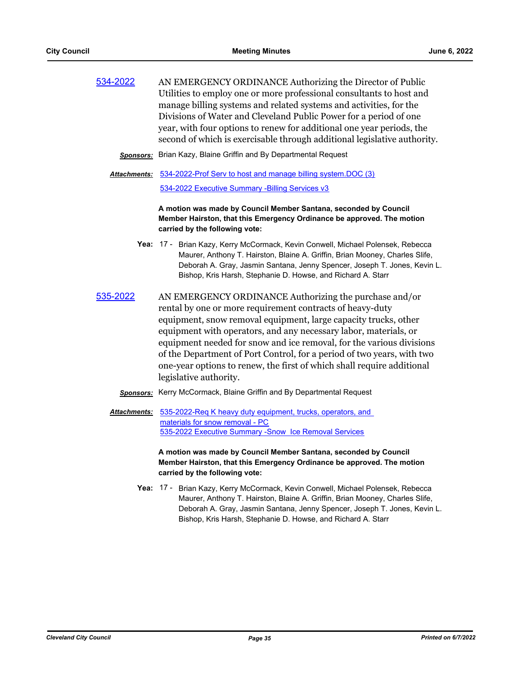[534-2022](http://cityofcleveland.legistar.com/gateway.aspx?m=l&id=/matter.aspx?key=30425) AN EMERGENCY ORDINANCE Authorizing the Director of Public Utilities to employ one or more professional consultants to host and manage billing systems and related systems and activities, for the Divisions of Water and Cleveland Public Power for a period of one year, with four options to renew for additional one year periods, the second of which is exercisable through additional legislative authority.

*Sponsors:* Brian Kazy, Blaine Griffin and By Departmental Request

[534-2022-Prof Serv to host and manage billing system.DOC \(3\)](http://cityofcleveland.legistar.com/gateway.aspx?M=F&ID=7405af1a-61f9-4c3e-aa6e-e89cfe35d6ea.doc) [534-2022 Executive Summary -Billing Services v3](http://cityofcleveland.legistar.com/gateway.aspx?M=F&ID=d968360d-9d07-4d18-bc59-fcc55e315268.pdf) *Attachments:*

> **A motion was made by Council Member Santana, seconded by Council Member Hairston, that this Emergency Ordinance be approved. The motion carried by the following vote:**

- Yea: 17 Brian Kazy, Kerry McCormack, Kevin Conwell, Michael Polensek, Rebecca Maurer, Anthony T. Hairston, Blaine A. Griffin, Brian Mooney, Charles Slife, Deborah A. Gray, Jasmin Santana, Jenny Spencer, Joseph T. Jones, Kevin L. Bishop, Kris Harsh, Stephanie D. Howse, and Richard A. Starr
- [535-2022](http://cityofcleveland.legistar.com/gateway.aspx?m=l&id=/matter.aspx?key=30426) AN EMERGENCY ORDINANCE Authorizing the purchase and/or rental by one or more requirement contracts of heavy-duty equipment, snow removal equipment, large capacity trucks, other equipment with operators, and any necessary labor, materials, or equipment needed for snow and ice removal, for the various divisions of the Department of Port Control, for a period of two years, with two one-year options to renew, the first of which shall require additional legislative authority.
	- *Sponsors:* Kerry McCormack, Blaine Griffin and By Departmental Request

[535-2022-Req K heavy duty equipment, trucks, operators, and](http://cityofcleveland.legistar.com/gateway.aspx?M=F&ID=d40ca2ec-6223-4661-9376-ffbbdb7cadfb.doc)  materials for snow removal - PC [535-2022 Executive Summary -Snow Ice Removal Services](http://cityofcleveland.legistar.com/gateway.aspx?M=F&ID=76f73a43-542d-4459-874a-3844973b0ea4.pdf) *Attachments:*

> **A motion was made by Council Member Santana, seconded by Council Member Hairston, that this Emergency Ordinance be approved. The motion carried by the following vote:**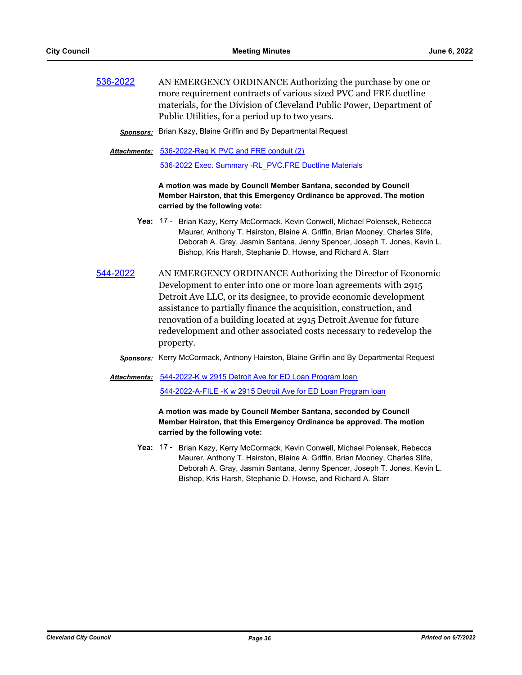| 536-2022 | AN EMERGENCY ORDINANCE Authorizing the purchase by one or            |
|----------|----------------------------------------------------------------------|
|          | more requirement contracts of various sized PVC and FRE ductline     |
|          | materials, for the Division of Cleveland Public Power, Department of |
|          | Public Utilities, for a period up to two years.                      |

#### *Sponsors:* Brian Kazy, Blaine Griffin and By Departmental Request

[536-2022-Req K PVC and FRE conduit \(2\)](http://cityofcleveland.legistar.com/gateway.aspx?M=F&ID=48b0c774-ad78-4a4e-b5cd-04a1ca371192.doc) *Attachments:* [536-2022 Exec. Summary -RL\\_PVC.FRE Ductline Materials](http://cityofcleveland.legistar.com/gateway.aspx?M=F&ID=ed9705c5-0568-40b7-9dea-13f4d6d0f4f8.pdf)

# **A motion was made by Council Member Santana, seconded by Council Member Hairston, that this Emergency Ordinance be approved. The motion carried by the following vote:**

- Yea: 17 Brian Kazy, Kerry McCormack, Kevin Conwell, Michael Polensek, Rebecca Maurer, Anthony T. Hairston, Blaine A. Griffin, Brian Mooney, Charles Slife, Deborah A. Gray, Jasmin Santana, Jenny Spencer, Joseph T. Jones, Kevin L. Bishop, Kris Harsh, Stephanie D. Howse, and Richard A. Starr
- [544-2022](http://cityofcleveland.legistar.com/gateway.aspx?m=l&id=/matter.aspx?key=30439) AN EMERGENCY ORDINANCE Authorizing the Director of Economic Development to enter into one or more loan agreements with 2915 Detroit Ave LLC, or its designee, to provide economic development assistance to partially finance the acquisition, construction, and renovation of a building located at 2915 Detroit Avenue for future redevelopment and other associated costs necessary to redevelop the property.

# *Sponsors:* Kerry McCormack, Anthony Hairston, Blaine Griffin and By Departmental Request

# [544-2022-K w 2915 Detroit Ave for ED Loan Program loan](http://cityofcleveland.legistar.com/gateway.aspx?M=F&ID=e64e59a1-b89e-4760-aa3c-13cce8cbdcb0.doc) *Attachments:*

[544-2022-A-FILE -K w 2915 Detroit Ave for ED Loan Program loan](http://cityofcleveland.legistar.com/gateway.aspx?M=F&ID=e7c7adac-04f8-40df-a65a-e4d7cc539e6f.pdf)

# **A motion was made by Council Member Santana, seconded by Council Member Hairston, that this Emergency Ordinance be approved. The motion carried by the following vote:**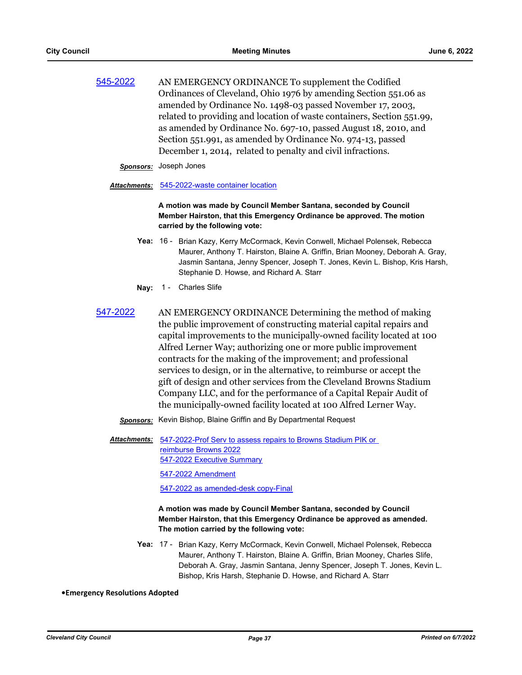| 545-2022 | AN EMERGENCY ORDINANCE To supplement the Codified                      |
|----------|------------------------------------------------------------------------|
|          | Ordinances of Cleveland, Ohio 1976 by amending Section 551.06 as       |
|          | amended by Ordinance No. 1498-03 passed November 17, 2003,             |
|          | related to providing and location of waste containers, Section 551.99, |
|          | as amended by Ordinance No. 697-10, passed August 18, 2010, and        |
|          | Section 551.991, as amended by Ordinance No. 974-13, passed            |
|          | December 1, 2014, related to penalty and civil infractions.            |
|          |                                                                        |

#### *Sponsors:* Joseph Jones

#### *Attachments:* [545-2022-waste container location](http://cityofcleveland.legistar.com/gateway.aspx?M=F&ID=0f0bb7fb-decb-4b17-b53d-070d5477ea0d.docx)

**A motion was made by Council Member Santana, seconded by Council Member Hairston, that this Emergency Ordinance be approved. The motion carried by the following vote:**

- Yea: 16 Brian Kazy, Kerry McCormack, Kevin Conwell, Michael Polensek, Rebecca Maurer, Anthony T. Hairston, Blaine A. Griffin, Brian Mooney, Deborah A. Gray, Jasmin Santana, Jenny Spencer, Joseph T. Jones, Kevin L. Bishop, Kris Harsh, Stephanie D. Howse, and Richard A. Starr
- **Nay:** 1 Charles Slife
- [547-2022](http://cityofcleveland.legistar.com/gateway.aspx?m=l&id=/matter.aspx?key=30442) AN EMERGENCY ORDINANCE Determining the method of making the public improvement of constructing material capital repairs and capital improvements to the municipally-owned facility located at 100 Alfred Lerner Way; authorizing one or more public improvement contracts for the making of the improvement; and professional services to design, or in the alternative, to reimburse or accept the gift of design and other services from the Cleveland Browns Stadium Company LLC, and for the performance of a Capital Repair Audit of the municipally-owned facility located at 100 Alfred Lerner Way.
	- *Sponsors:* Kevin Bishop, Blaine Griffin and By Departmental Request
	- [547-2022-Prof Serv to assess repairs to Browns Stadium PIK or](http://cityofcleveland.legistar.com/gateway.aspx?M=F&ID=ee2b31e7-10de-4785-91f7-9e9f7ab4bcff.doc)  reimburse Browns 2022 [547-2022 Executive Summary](http://cityofcleveland.legistar.com/gateway.aspx?M=F&ID=3946ecdf-8572-4397-b4ea-a461992bd055.pdf) [547-2022 Amendment](http://cityofcleveland.legistar.com/gateway.aspx?M=F&ID=8927ea70-d69a-4e5f-b034-2df2e98b3741.pdf) *Attachments:*

[547-2022 as amended-desk copy-Final](http://cityofcleveland.legistar.com/gateway.aspx?M=F&ID=e7fd1da5-cbec-4c66-a000-8b286a986b9d.DOC)

# **A motion was made by Council Member Santana, seconded by Council Member Hairston, that this Emergency Ordinance be approved as amended. The motion carried by the following vote:**

Yea: 17 - Brian Kazy, Kerry McCormack, Kevin Conwell, Michael Polensek, Rebecca Maurer, Anthony T. Hairston, Blaine A. Griffin, Brian Mooney, Charles Slife, Deborah A. Gray, Jasmin Santana, Jenny Spencer, Joseph T. Jones, Kevin L. Bishop, Kris Harsh, Stephanie D. Howse, and Richard A. Starr

#### **•Emergency Resolutions Adopted**